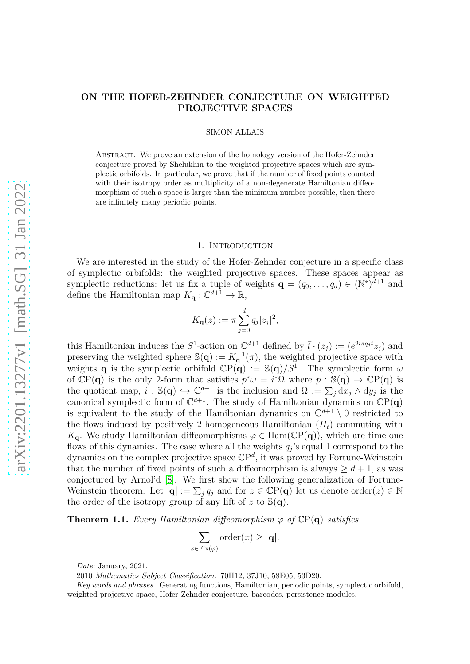# **ON THE HOFER-ZEHNDER CONJECTURE ON WEIGHTED PROJECTIVE SPACES**

### SIMON ALLAIS

Abstract. We prove an extension of the homology version of the Hofer-Zehnder conjecture proved by Shelukhin to the weighted projective spaces which are symplectic orbifolds. In particular, we prove that if the number of fixed points counted with their isotropy order as multiplicity of a non-degenerate Hamiltonian diffeomorphism of such a space is larger than the minimum number possible, then there are infinitely many periodic points.

## 1. INTRODUCTION

We are interested in the study of the Hofer-Zehnder conjecture in a specific class of symplectic orbifolds: the weighted projective spaces. These spaces appear as symplectic reductions: let us fix a tuple of weights  $\mathbf{q} = (q_0, \ldots, q_d) \in (\mathbb{N}^*)^{d+1}$  and define the Hamiltonian map  $K_{\mathbf{q}} : \mathbb{C}^{d+1} \to \mathbb{R}$ ,

$$
K_{\mathbf{q}}(z) := \pi \sum_{j=0}^{d} q_j |z_j|^2,
$$

this Hamiltonian induces the  $S^1$ -action on  $\mathbb{C}^{d+1}$  defined by  $\bar{t} \cdot (z_j) := (e^{2i\pi q_j t} z_j)$  and preserving the weighted sphere  $\mathbb{S}(q) := K_q^{-1}(\pi)$ , the weighted projective space with weights **q** is the symplectic orbifold  $\mathbb{C}P(q) := \mathbb{S}(q)/S^1$ . The symplectic form  $\omega$ of  $\mathbb{C}P(q)$  is the only 2-form that satisfies  $p^*\omega = i^*\Omega$  where  $p : \mathbb{S}(q) \to \mathbb{C}P(q)$  is the quotient map,  $i : \mathbb{S}(q) \hookrightarrow \mathbb{C}^{d+1}$  is the inclusion and  $\Omega := \sum_j dx_j \wedge dy_j$  is the canonical symplectic form of  $\mathbb{C}^{d+1}$ . The study of Hamiltonian dynamics on  $\mathbb{C}P(q)$ is equivalent to the study of the Hamiltonian dynamics on  $\mathbb{C}^{d+1} \setminus 0$  restricted to the flows induced by positively 2-homogeneous Hamiltonian  $(H_t)$  commuting with  $K_{q}$ . We study Hamiltonian diffeomorphisms  $\varphi \in \text{Ham}(\mathbb{C}P(q))$ , which are time-one flows of this dynamics. The case where all the weights *q<sup>j</sup>* 's equal 1 correspond to the dynamics on the complex projective space CP *d* , it was proved by Fortune-Weinstein that the number of fixed points of such a diffeomorphism is always  $\geq d+1$ , as was conjectured by Arnol'd [\[8\]](#page-20-0). We first show the following generalization of Fortune-Weinstein theorem. Let  $|\mathbf{q}| := \sum_j q_j$  and for  $z \in \mathbb{C}P(\mathbf{q})$  let us denote order(*z*)  $\in \mathbb{N}$ the order of the isotropy group of any lift of  $z$  to  $\mathcal{S}(q)$ .

<span id="page-0-0"></span>**Theorem 1.1.** *Every Hamiltonian diffeomorphism*  $\varphi$  *of*  $\mathbb{C}P(q)$  *satisfies* 

$$
\sum_{x \in \text{Fix}(\varphi)} \text{order}(x) \ge |\mathbf{q}|.
$$

*Date*: January, 2021.

<sup>2010</sup> *Mathematics Subject Classification.* 70H12, 37J10, 58E05, 53D20.

*Key words and phrases.* Generating functions, Hamiltonian, periodic points, symplectic orbifold, weighted projective space, Hofer-Zehnder conjecture, barcodes, persistence modules.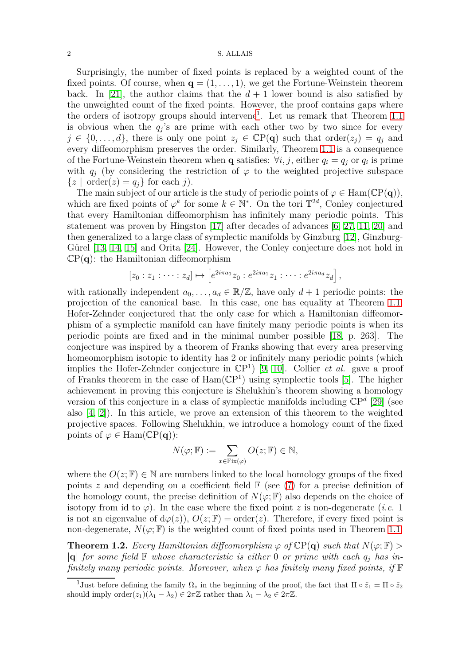Surprisingly, the number of fixed points is replaced by a weighted count of the fixed points. Of course, when  $\mathbf{q} = (1, \ldots, 1)$ , we get the Fortune-Weinstein theorem back. In [\[21\]](#page-20-1), the author claims that the  $d+1$  lower bound is also satisfied by the unweighted count of the fixed points. However, the proof contains gaps where the orders of isotropy groups should intervene<sup>[1](#page-1-0)</sup>. Let us remark that Theorem [1.1](#page-0-0) is obvious when the  $q_j$ 's are prime with each other two by two since for every  $j \in \{0, \ldots, d\}$ , there is only one point  $z_j \in \mathbb{C}P(q)$  such that order $(z_j) = q_j$  and every diffeomorphism preserves the order. Similarly, Theorem [1.1](#page-0-0) is a consequence of the Fortune-Weinstein theorem when **q** satisfies:  $\forall i, j$ , either  $q_i = q_j$  or  $q_i$  is prime with  $q_j$  (by considering the restriction of  $\varphi$  to the weighted projective subspace  $\{z \mid \text{order}(z) = q_i\}$  for each *j*).

The main subject of our article is the study of periodic points of  $\varphi \in \text{Ham}(\mathbb{C}P(\mathbf{q}))$ , which are fixed points of  $\varphi^k$  for some  $k \in \mathbb{N}^*$ . On the tori  $\mathbb{T}^{2d}$ , Conley conjectured that every Hamiltonian diffeomorphism has infinitely many periodic points. This statement was proven by Hingston [\[17\]](#page-20-2) after decades of advances [\[6,](#page-20-3) [27,](#page-21-0) [11,](#page-20-4) [20\]](#page-20-5) and then generalized to a large class of symplectic manifolds by Ginzburg [\[12\]](#page-20-6), Ginzburg-Gürel [\[13,](#page-20-7) [14,](#page-20-8) [15\]](#page-20-9) and Orita [\[24\]](#page-21-1). However, the Conley conjecture does not hold in  $\mathbb{C}P(q)$ : the Hamiltonian diffeomorphism

$$
[z_0:z_1:\cdots:z_d]\mapsto \left[e^{2i\pi a_0}z_0:e^{2i\pi a_1}z_1:\cdots:e^{2i\pi a_d}z_d\right],
$$

with rationally independent  $a_0, \ldots, a_d \in \mathbb{R}/\mathbb{Z}$ , have only  $d+1$  periodic points: the projection of the canonical base. In this case, one has equality at Theorem [1.1.](#page-0-0) Hofer-Zehnder conjectured that the only case for which a Hamiltonian diffeomorphism of a symplectic manifold can have finitely many periodic points is when its periodic points are fixed and in the minimal number possible [\[18,](#page-20-10) p. 263]. The conjecture was inspired by a theorem of Franks showing that every area preserving homeomorphism isotopic to identity has 2 or infinitely many periodic points (which implies the Hofer-Zehnder conjecture in  $\mathbb{C}P^1$  [\[9,](#page-20-11) [10\]](#page-20-12). Collier *et al.* gave a proof of Franks theorem in the case of  $Ham(\mathbb{C}P^1)$  using symplectic tools [\[5\]](#page-20-13). The higher achievement in proving this conjecture is Shelukhin's theorem showing a homology version of this conjecture in a class of symplectic manifolds including  $\mathbb{C}P^d$  [\[29\]](#page-21-2) (see also [\[4,](#page-20-14) [2\]](#page-20-15)). In this article, we prove an extension of this theorem to the weighted projective spaces. Following Shelukhin, we introduce a homology count of the fixed points of  $\varphi \in \text{Ham}(\mathbb{C}P(q))$ :

$$
N(\varphi; \mathbb{F}) := \sum_{x \in \text{Fix}(\varphi)} O(z; \mathbb{F}) \in \mathbb{N},
$$

where the  $O(z;\mathbb{F}) \in \mathbb{N}$  are numbers linked to the local homology groups of the fixed points *z* and depending on a coefficient field  $\mathbb{F}$  (see [\(7\)](#page-9-0) for a precise definition of the homology count, the precise definition of  $N(\varphi; \mathbb{F})$  also depends on the choice of isotopy from id to  $\varphi$ ). In the case where the fixed point *z* is non-degenerate (*i.e.* 1 is not an eigenvalue of  $d\varphi(z)$ ,  $O(z;\mathbb{F}) = \text{order}(z)$ . Therefore, if every fixed point is non-degenerate,  $N(\varphi; \mathbb{F})$  is the weighted count of fixed points used in Theorem [1.1.](#page-0-0)

<span id="page-1-1"></span>**Theorem 1.2.** Every Hamiltonian diffeomorphism  $\varphi$  of  $\mathbb{C}P(q)$  such that  $N(\varphi; \mathbb{F})$  >  $|q|$  *for some field*  $\mathbb F$  *whose characteristic is either* 0 *or prime with each*  $q_i$  *has infinitely many periodic points. Moreover, when*  $\varphi$  *has finitely many fixed points, if*  $\mathbb{F}$ 

<span id="page-1-0"></span><sup>&</sup>lt;sup>1</sup>Just before defining the family  $\Omega_z$  in the beginning of the proof, the fact that  $\Pi \circ \tilde{z}_1 = \Pi \circ \tilde{z}_2$ should imply order $(z_1)(\lambda_1 - \lambda_2) \in 2\pi\mathbb{Z}$  rather than  $\lambda_1 - \lambda_2 \in 2\pi\mathbb{Z}$ .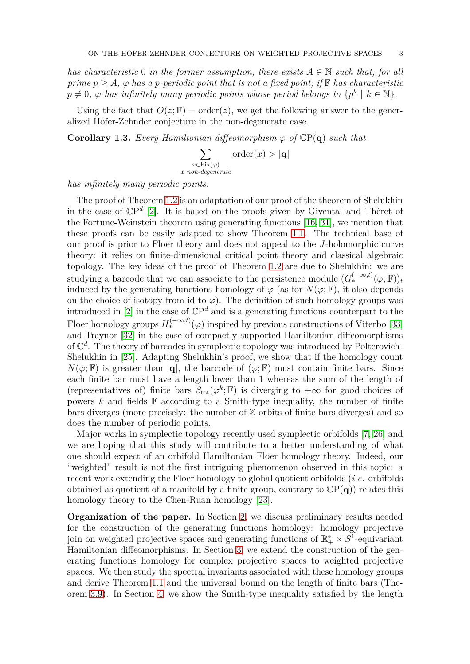*has characteristic* 0 *in the former assumption, there exists*  $A \in \mathbb{N}$  *such that, for all prime*  $p > A$ ,  $\varphi$  *has a p*-periodic point that is not a fixed point; if **F** *has characteristic*  $p \neq 0$ ,  $\varphi$  *has infinitely many periodic points whose period belongs to*  $\{p^k \mid k \in \mathbb{N}\}.$ 

Using the fact that  $O(z;\mathbb{F}) = \text{order}(z)$ , we get the following answer to the generalized Hofer-Zehnder conjecture in the non-degenerate case.

**Corollary 1.3.** *Every Hamiltonian diffeomorphism*  $\varphi$  *of*  $\mathbb{C}P(q)$  *such that* 

*x non-degenerate*

$$
\sum_{\substack{x \in \text{Fix}(\varphi) \\ \text{non-degenerate}}} \text{order}(x) > |\mathbf{q}|
$$

*has infinitely many periodic points.*

The proof of Theorem [1.2](#page-1-1) is an adaptation of our proof of the theorem of Shelukhin in the case of CP *d* [\[2\]](#page-20-15). It is based on the proofs given by Givental and Théret of the Fortune-Weinstein theorem using generating functions [\[16,](#page-20-16) [31\]](#page-21-3), we mention that these proofs can be easily adapted to show Theorem [1.1.](#page-0-0) The technical base of our proof is prior to Floer theory and does not appeal to the *J*-holomorphic curve theory: it relies on finite-dimensional critical point theory and classical algebraic topology. The key ideas of the proof of Theorem [1.2](#page-1-1) are due to Shelukhin: we are studying a barcode that we can associate to the persistence module  $(G_*^{(-\infty,t)}(\varphi;\mathbb{F}))_t$ induced by the generating functions homology of  $\varphi$  (as for  $N(\varphi;\mathbb{F})$ , it also depends on the choice of isotopy from id to  $\varphi$ ). The definition of such homology groups was introduced in  $[2]$  in the case of  $\mathbb{C}P^d$  and is a generating functions counterpart to the Floer homology groups  $H_*^{(-\infty,t)}(\varphi)$  inspired by previous constructions of Viterbo [\[33\]](#page-21-4) and Traynor [\[32\]](#page-21-5) in the case of compactly supported Hamiltonian diffeomorphisms of  $\mathbb{C}^d$ . The theory of barcodes in symplectic topology was introduced by Polterovich-Shelukhin in [\[25\]](#page-21-6). Adapting Shelukhin's proof, we show that if the homology count  $N(\varphi;\mathbb{F})$  is greater than  $|\mathbf{q}|$ , the barcode of  $(\varphi;\mathbb{F})$  must contain finite bars. Since each finite bar must have a length lower than 1 whereas the sum of the length of (representatives of) finite bars  $\beta_{\text{tot}}(\varphi^k;\mathbb{F})$  is diverging to  $+\infty$  for good choices of powers  $k$  and fields  $\mathbb F$  according to a Smith-type inequality, the number of finite bars diverges (more precisely: the number of Z-orbits of finite bars diverges) and so does the number of periodic points.

Major works in symplectic topology recently used symplectic orbifolds [\[7,](#page-20-17) [26\]](#page-21-7) and we are hoping that this study will contribute to a better understanding of what one should expect of an orbifold Hamiltonian Floer homology theory. Indeed, our "weighted" result is not the first intriguing phenomenon observed in this topic: a recent work extending the Floer homology to global quotient orbifolds (*i.e.* orbifolds obtained as quotient of a manifold by a finite group, contrary to  $\mathbb{C}P(q)$  relates this homology theory to the Chen-Ruan homology [\[23\]](#page-20-18).

**Organization of the paper.** In Section [2,](#page-3-0) we discuss preliminary results needed for the construction of the generating functions homology: homology projective join on weighted projective spaces and generating functions of  $\mathbb{R}_+^* \times S^1$ -equivariant Hamiltonian diffeomorphisms. In Section [3,](#page-7-0) we extend the construction of the generating functions homology for complex projective spaces to weighted projective spaces. We then study the spectral invariants associated with these homology groups and derive Theorem [1.1](#page-0-0) and the universal bound on the length of finite bars (Theorem [3.9\)](#page-14-0). In Section [4,](#page-14-1) we show the Smith-type inequality satisfied by the length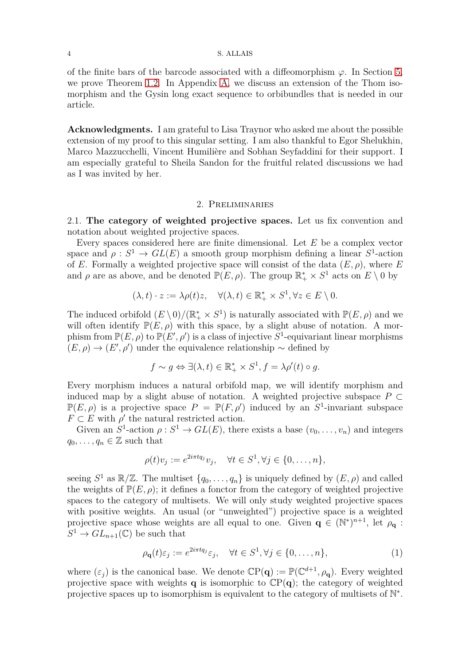of the finite bars of the barcode associated with a diffeomorphism  $\varphi$ . In Section [5,](#page-17-0) we prove Theorem [1.2.](#page-1-1) In Appendix [A,](#page-18-0) we discuss an extension of the Thom isomorphism and the Gysin long exact sequence to orbibundles that is needed in our article.

**Acknowledgments.** I am grateful to Lisa Traynor who asked me about the possible extension of my proof to this singular setting. I am also thankful to Egor Shelukhin, Marco Mazzucchelli, Vincent Humilière and Sobhan Seyfaddini for their support. I am especially grateful to Sheila Sandon for the fruitful related discussions we had as I was invited by her.

## 2. Preliminaries

<span id="page-3-0"></span>2.1. **The category of weighted projective spaces.** Let us fix convention and notation about weighted projective spaces.

Every spaces considered here are finite dimensional. Let *E* be a complex vector space and  $\rho: S^1 \to GL(E)$  a smooth group morphism defining a linear  $S^1$ -action of *E*. Formally a weighted projective space will consist of the data  $(E, \rho)$ , where *E* and  $\rho$  are as above, and be denoted  $\mathbb{P}(E,\rho)$ . The group  $\mathbb{R}_+^* \times S^1$  acts on  $E \setminus 0$  by

$$
(\lambda, t) \cdot z := \lambda \rho(t) z, \quad \forall (\lambda, t) \in \mathbb{R}_+^* \times S^1, \forall z \in E \setminus 0.
$$

The induced orbifold  $(E \setminus 0) / (\mathbb{R}_+^* \times S^1)$  is naturally associated with  $\mathbb{P}(E, \rho)$  and we will often identify  $\mathbb{P}(E,\rho)$  with this space, by a slight abuse of notation. A morphism from  $\mathbb{P}(E,\rho)$  to  $\mathbb{P}(E',\rho')$  is a class of injective  $S^1$ -equivariant linear morphisms  $(E, \rho) \rightarrow (E', \rho')$  under the equivalence relationship  $\sim$  defined by

$$
f \sim g \Leftrightarrow \exists (\lambda, t) \in \mathbb{R}_+^* \times S^1, f = \lambda \rho'(t) \circ g.
$$

Every morphism induces a natural orbifold map, we will identify morphism and induced map by a slight abuse of notation. A weighted projective subspace  $P \subset$  $\mathbb{P}(E,\rho)$  is a projective space  $P = \mathbb{P}(F,\rho')$  induced by an  $S^1$ -invariant subspace  $F \subset E$  with  $\rho'$  the natural restricted action.

Given an  $S^1$ -action  $\rho: S^1 \to GL(E)$ , there exists a base  $(v_0, \ldots, v_n)$  and integers  $q_0, \ldots, q_n \in \mathbb{Z}$  such that

$$
\rho(t)v_j := e^{2i\pi t q_j}v_j, \quad \forall t \in S^1, \forall j \in \{0, \dots, n\},
$$

seeing  $S^1$  as  $\mathbb{R}/\mathbb{Z}$ . The multiset  $\{q_0, \ldots, q_n\}$  is uniquely defined by  $(E, \rho)$  and called the weights of  $\mathbb{P}(E,\rho)$ ; it defines a fonctor from the category of weighted projective spaces to the category of multisets. We will only study weighted projective spaces with positive weights. An usual (or "unweighted") projective space is a weighted projective space whose weights are all equal to one. Given  $\mathbf{q} \in (\mathbb{N}^*)^{n+1}$ , let  $\rho_{\mathbf{q}}$ :  $S^1 \to GL_{n+1}(\mathbb{C})$  be such that

<span id="page-3-1"></span>
$$
\rho_{\mathbf{q}}(t)\varepsilon_j := e^{2i\pi t q_j} \varepsilon_j, \quad \forall t \in S^1, \forall j \in \{0, \dots, n\},\tag{1}
$$

where  $(\varepsilon_j)$  is the canonical base. We denote  $\mathbb{C}P(q) := \mathbb{P}(\mathbb{C}^{d+1}, \rho_q)$ . Every weighted projective space with weights **q** is isomorphic to  $\mathbb{C}P(q)$ ; the category of weighted projective spaces up to isomorphism is equivalent to the category of multisets of N<sup>\*</sup>.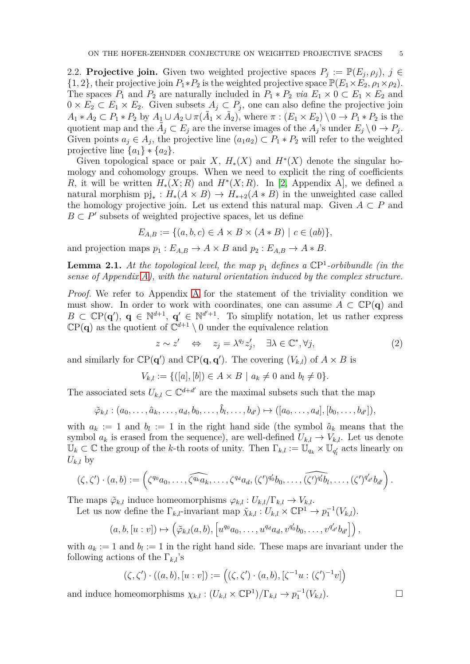2.2. **Projective join.** Given two weighted projective spaces  $P_j := \mathbb{P}(E_j, \rho_j)$ ,  $j \in$  $\{1, 2\}$ , their projective join  $P_1 * P_2$  is the weighted projective space  $\mathbb{P}(E_1 \times E_2, \rho_1 \times \rho_2)$ . The spaces  $P_1$  and  $P_2$  are naturally included in  $P_1 * P_2$  *via*  $E_1 \times 0 \subset E_1 \times E_2$  and  $0 \times E_2 \subset E_1 \times E_2$ . Given subsets  $A_j \subset P_j$ , one can also define the projective join  $A_1 * A_2 \subset P_1 * P_2$  by  $A_1 \cup A_2 \cup \pi(\tilde{A}_1 \times \tilde{A}_2)$ , where  $\pi : (E_1 \times E_2) \setminus 0 \to P_1 * P_2$  is the quotient map and the  $\tilde{A}_j \subset E_j$  are the inverse images of the  $A_j$ 's under  $E_j \setminus 0 \to P_j$ . Given points  $a_j \in A_j$ , the projective line  $(a_1a_2) \subset P_1 * P_2$  will refer to the weighted projective line  $\{a_1\} * \{a_2\}.$ 

Given topological space or pair *X*,  $H_*(X)$  and  $H^*(X)$  denote the singular homology and cohomology groups. When we need to explicit the ring of coefficients *R*, it will be written  $H_*(X; R)$  and  $H^*(X; R)$ . In [\[2,](#page-20-15) Appendix A], we defined a natural morphism  $\pi$ <sub>*i*</sub> :  $H_*(A \times B) \to H_{*+2}(A * B)$  in the unweighted case called the homology projective join. Let us extend this natural map. Given  $A \subset P$  and  $B \subset P'$  subsets of weighted projective spaces, let us define

$$
E_{A,B} := \{ (a, b, c) \in A \times B \times (A * B) \mid c \in (ab) \},
$$

and projection maps  $p_1 : E_{A,B} \to A \times B$  and  $p_2 : E_{A,B} \to A * B$ .

**Lemma 2.1.** *At the topological level, the map p*<sup>1</sup> *defines a* CP 1 *-orbibundle (in the sense of Appendix [A\)](#page-18-0), with the natural orientation induced by the complex structure.*

*Proof.* We refer to Appendix [A](#page-18-0) for the statement of the triviality condition we must show. In order to work with coordinates, one can assume  $A \subset \mathbb{C}P(q)$  and  $B \subset \mathbb{C}P(q')$ ,  $q \in \mathbb{N}^{d+1}$ ,  $q' \in \mathbb{N}^{d'+1}$ . To simplify notation, let us rather express  $\mathbb{C}P(q)$  as the quotient of  $\mathbb{C}^{d+1} \setminus 0$  under the equivalence relation

<span id="page-4-0"></span>
$$
z \sim z' \quad \Leftrightarrow \quad z_j = \lambda^{q_j} z'_j, \quad \exists \lambda \in \mathbb{C}^*, \forall j,
$$
 (2)

and similarly for  $\mathbb{CP}(\mathbf{q}')$  and  $\mathbb{CP}(\mathbf{q}, \mathbf{q}')$ . The covering  $(V_{k,l})$  of  $A \times B$  is

$$
V_{k,l} := \{([a],[b]) \in A \times B \mid a_k \neq 0 \text{ and } b_l \neq 0\}.
$$

The associated sets  $U_{k,l} \subset \mathbb{C}^{d+d'}$  are the maximal subsets such that the map

$$
\tilde{\varphi}_{k,l}:(a_0,\ldots,\hat{a}_k,\ldots,a_d,b_0,\ldots,\hat{b}_l,\ldots,b_{d'})\mapsto ([a_0,\ldots,a_d],[b_0,\ldots,b_{d'}]),
$$

with  $a_k := 1$  and  $b_l := 1$  in the right hand side (the symbol  $\hat{a}_k$  means that the symbol  $a_k$  is erased from the sequence), are well-defined  $U_{k,l} \to V_{k,l}$ . Let us denote  $\mathbb{U}_k \subset \mathbb{C}$  the group of the *k*-th roots of unity. Then  $\Gamma_{k,l} := \mathbb{U}_{q_k} \times \mathbb{U}_{q'_l}$  acts linearly on  $U_{k,l}$  by

$$
(\zeta,\zeta')\cdot (a,b):=\left(\zeta^{q_0}a_0,\ldots,\widehat{\zeta^{q_k}a_k},\ldots,\zeta^{q_d}a_d,(\zeta')^{q_0'}b_0,\ldots,\widehat{(\zeta')^{q_t'}b_l},\ldots,(\zeta')^{q_{d'}'}b_{d'}\right).
$$

The maps  $\tilde{\varphi}_{k,l}$  induce homeomorphisms  $\varphi_{k,l}: U_{k,l}/\Gamma_{k,l} \to V_{k,l}$ . Let us now define the  $\Gamma_{k,l}$ -invariant map  $\tilde{\chi}_{k,l}: U_{k,l} \times \mathbb{C}\mathbb{P}^1 \to p_1^{-1}(V_{k,l}).$ 

$$
(a,b,[u:v])\mapsto \left(\tilde{\varphi}_{k,l}(a,b),\left[u^{q_0}a_0,\ldots,u^{q_d}a_d,v^{q_0'}b_0,\ldots,v^{q_{d'}'}b_{d'}\right]\right),
$$

with  $a_k := 1$  and  $b_l := 1$  in the right hand side. These maps are invariant under the following actions of the  $\Gamma_{k,l}$ 's

$$
(\zeta, \zeta') \cdot ((a, b), [u:v]) := ((\zeta, \zeta') \cdot (a, b), [\zeta^{-1}u : (\zeta')^{-1}v])
$$

and induce homeomorphisms  $\chi_{k,l} : (U_{k,l} \times \mathbb{C}P^1)/\Gamma_{k,l} \to p_1^{-1}(V_{k,l}).$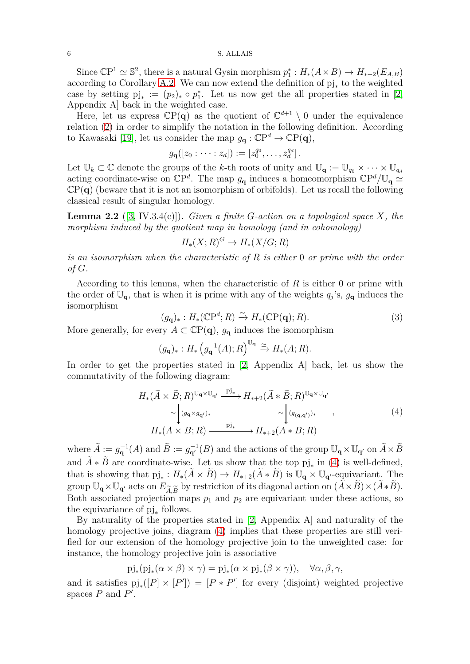Since  $\mathbb{C}\mathbb{P}^1 \simeq \mathbb{S}^2$ , there is a natural Gysin morphism  $p_1^*: H_*(A \times B) \to H_{*+2}(E_{A,B})$ according to Corollary [A.2.](#page-19-0) We can now extend the definition of pj<sup>∗</sup> to the weighted case by setting  $pj_* := (p_2)_* \circ p_1^*$ . Let us now get the all properties stated in [\[2,](#page-20-15) Appendix A] back in the weighted case.

Here, let us express  $\mathbb{C}P(q)$  as the quotient of  $\mathbb{C}^{d+1} \setminus 0$  under the equivalence relation [\(2\)](#page-4-0) in order to simplify the notation in the following definition. According to Kawasaki [\[19\]](#page-20-19), let us consider the map  $g_{\mathbf{q}} : \mathbb{C}\mathrm{P}^d \to \mathbb{C}\mathrm{P}(\mathbf{q}),$ 

$$
g_{\mathbf{q}}([z_0:\cdots:z_d]):=[z_0^{q_0},\ldots,z_d^{q_d}].
$$

Let  $\mathbb{U}_k \subset \mathbb{C}$  denote the groups of the *k*-th roots of unity and  $\mathbb{U}_q := \mathbb{U}_{q_0} \times \cdots \times \mathbb{U}_{q_d}$ acting coordinate-wise on  $\mathbb{C}P^d$ . The map  $g_{\mathbf{q}}$  induces a homeomorphism  $\mathbb{C}P^d/\mathbb{U}_{\mathbf{q}} \simeq$  $\mathbb{C}P(q)$  (beware that it is not an isomorphism of orbifolds). Let us recall the following classical result of singular homology.

<span id="page-5-2"></span>**Lemma 2.2** ([\[3,](#page-20-20) IV.3.4(c)])**.** *Given a finite G-action on a topological space X, the morphism induced by the quotient map in homology (and in cohomology)*

$$
H_*(X;R)^G \to H_*(X/G;R)
$$

*is an isomorphism when the characteristic of R is either* 0 *or prime with the order of G.*

According to this lemma, when the characteristic of *R* is either 0 or prime with the order of  $\mathbb{U}_{q}$ , that is when it is prime with any of the weights  $q_j$ 's,  $g_q$  induces the isomorphism

<span id="page-5-1"></span>
$$
(g_{\mathbf{q}})_*: H_*(\mathbb{C}\mathbb{P}^d; R) \xrightarrow{\simeq} H_*(\mathbb{C}\mathbb{P}(\mathbf{q}); R). \tag{3}
$$

More generally, for every  $A \subset \mathbb{C}P(q)$ ,  $g_q$  induces the isomorphism

$$
(g_{\mathbf{q}})_* : H_* (g_{\mathbf{q}}^{-1}(A); R)^{\mathbb{U}_{\mathbf{q}}} \xrightarrow{\simeq} H_*(A; R).
$$

In order to get the properties stated in [\[2,](#page-20-15) Appendix A] back, let us show the commutativity of the following diagram:

<span id="page-5-0"></span>
$$
H_{*}(\tilde{A} \times \tilde{B}; R)^{\mathbb{U}_{\mathbf{q}} \times \mathbb{U}_{\mathbf{q}'}} \xrightarrow{\text{pi}} H_{*+2}(\tilde{A} * \tilde{B}; R)^{\mathbb{U}_{\mathbf{q}} \times \mathbb{U}_{\mathbf{q}'}}
$$
\n
$$
\simeq \begin{cases} (g_{\mathbf{q}} \times g_{\mathbf{q}'}), & \simeq \end{cases} \simeq \begin{cases} (g_{(\mathbf{q}, \mathbf{q}')}), & (4) \\ (g_{(\mathbf{q}, \mathbf{q}')}), & (5) \end{cases}
$$
\n
$$
H_{*}(A \times B; R) \xrightarrow{\text{pi}} H_{*+2}(A * B; R)
$$

where  $\widetilde{A} := g_{\mathbf{q}}^{-1}(A)$  and  $\widetilde{B} := g_{\mathbf{q'}}^{-1}(B)$  and the actions of the group  $\mathbb{U}_{\mathbf{q}} \times \mathbb{U}_{\mathbf{q'}}$  on  $\widetilde{A} \times \widetilde{B}$ and  $A * B$  are coordinate-wise. Let us show that the top  $pi_{\ast}$  in [\(4\)](#page-5-0) is well-defined, that is showing that  $\text{pi}_* : H_*(\overline{A} \times \overline{B}) \to H_{*+2}(\overline{A} * \overline{B})$  is  $\mathbb{U}_q \times \mathbb{U}_{q'}$ -equivariant. The group  $\mathbb{U}_{\mathbf{q}} \times \mathbb{U}_{\mathbf{q}'}$  acts on  $E_{\widetilde{A}|\widetilde{B}}$  by restriction of its diagonal action on  $(\widetilde{A} \times \widetilde{B}) \times (\widetilde{A} * \widetilde{B})$ . Both associated projection maps  $p_1$  and  $p_2$  are equivariant under these actions, so the equivariance of pj<sup>∗</sup> follows.

By naturality of the properties stated in [\[2,](#page-20-15) Appendix A] and naturality of the homology projective joins, diagram [\(4\)](#page-5-0) implies that these properties are still verified for our extension of the homology projective join to the unweighted case: for instance, the homology projective join is associative

$$
\text{pi}_*(\text{pi}_*(\alpha \times \beta) \times \gamma) = \text{pi}_*(\alpha \times \text{pi}_*(\beta \times \gamma)), \quad \forall \alpha, \beta, \gamma,
$$

and it satisfies  $\text{pi}_*(P \times [P']) = [P * P']$  for every (disjoint) weighted projective spaces  $P$  and  $P'$ .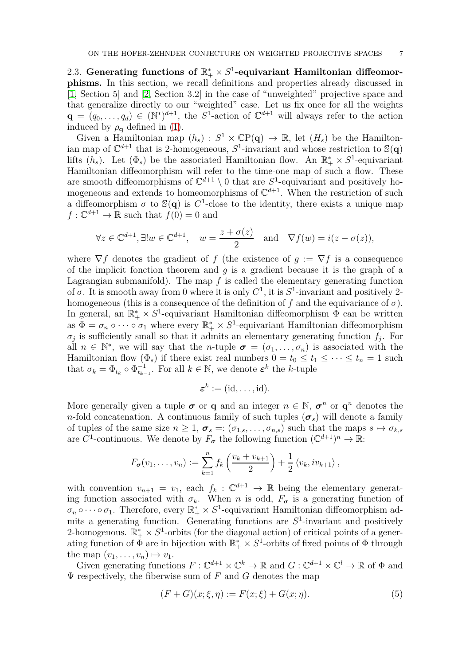2.3. Generating functions of  $\mathbb{R}_+^* \times S^1$ -equivariant Hamiltonian diffeomor**phisms.** In this section, we recall definitions and properties already discussed in [\[1,](#page-20-21) Section 5] and [\[2,](#page-20-15) Section 3.2] in the case of "unweighted" projective space and that generalize directly to our "weighted" case. Let us fix once for all the weights  $\mathbf{q} = (q_0, \ldots, q_d) \in (\mathbb{N}^*)^{d+1}$ , the *S*<sup>1</sup>-action of  $\mathbb{C}^{d+1}$  will always refer to the action induced by  $\rho_{q}$  defined in [\(1\)](#page-3-1).

Given a Hamiltonian map  $(h_s)$ :  $S^1 \times \mathbb{C}P(q) \to \mathbb{R}$ , let  $(H_s)$  be the Hamiltonian map of  $\mathbb{C}^{d+1}$  that is 2-homogeneous,  $S^1$ -invariant and whose restriction to  $\mathbb{S}(q)$ lifts  $(h_s)$ . Let  $(\Phi_s)$  be the associated Hamiltonian flow. An  $\mathbb{R}_+^* \times S^1$ -equivariant Hamiltonian diffeomorphism will refer to the time-one map of such a flow. These are smooth diffeomorphisms of  $\mathbb{C}^{d+1} \setminus 0$  that are  $S^1$ -equivariant and positively homogeneous and extends to homeomorphisms of  $\mathbb{C}^{d+1}$ . When the restriction of such a diffeomorphism  $\sigma$  to  $\mathbb{S}(q)$  is  $C^1$ -close to the identity, there exists a unique map  $f: \mathbb{C}^{d+1} \to \mathbb{R}$  such that  $f(0) = 0$  and

$$
\forall z \in \mathbb{C}^{d+1}, \exists! w \in \mathbb{C}^{d+1}, \quad w = \frac{z + \sigma(z)}{2} \quad \text{and} \quad \nabla f(w) = i(z - \sigma(z)),
$$

where  $\nabla f$  denotes the gradient of *f* (the existence of  $q := \nabla f$  is a consequence of the implicit fonction theorem and *g* is a gradient because it is the graph of a Lagrangian submanifold). The map  $f$  is called the elementary generating function of  $\sigma$ . It is smooth away from 0 where it is only  $C^1$ , it is  $S^1$ -invariant and positively 2homogeneous (this is a consequence of the definition of  $f$  and the equivariance of  $\sigma$ ). In general, an  $\mathbb{R}_+^* \times S^1$ -equivariant Hamiltonian diffeomorphism  $\Phi$  can be written as  $\Phi = \sigma_n \circ \cdots \circ \sigma_1$  where every  $\mathbb{R}_+^* \times S^1$ -equivariant Hamiltonian diffeomorphism  $\sigma_j$  is sufficiently small so that it admits an elementary generating function  $f_j$ . For all  $n \in \mathbb{N}^*$ , we will say that the *n*-tuple  $\sigma = (\sigma_1, \ldots, \sigma_n)$  is associated with the Hamiltonian flow  $(\Phi_s)$  if there exist real numbers  $0 = t_0 \le t_1 \le \cdots \le t_n = 1$  such that  $\sigma_k = \Phi_{t_k} \circ \Phi_{t_{k-1}}^{-1}$ . For all  $k \in \mathbb{N}$ , we denote  $\varepsilon^k$  the *k*-tuple

$$
\boldsymbol{\varepsilon}^k := (\mathrm{id}, \dots, \mathrm{id}).
$$

More generally given a tuple  $\sigma$  or **q** and an integer  $n \in \mathbb{N}$ ,  $\sigma^n$  or  $\mathbf{q}^n$  denotes the *n*-fold concatenation. A continuous family of such tuples  $(\sigma_s)$  will denote a family of tuples of the same size  $n \geq 1$ ,  $\sigma_s =: (\sigma_{1,s}, \ldots, \sigma_{n,s})$  such that the maps  $s \mapsto \sigma_{k,s}$ are  $C^1$ -continuous. We denote by  $F_{\sigma}$  the following function  $(\mathbb{C}^{d+1})^n \to \mathbb{R}$ :

$$
F_{\sigma}(v_1,\ldots,v_n):=\sum_{k=1}^n f_k\left(\frac{v_k+v_{k+1}}{2}\right)+\frac{1}{2}\left\langle v_k,iv_{k+1}\right\rangle,
$$

with convention  $v_{n+1} = v_1$ , each  $f_k : \mathbb{C}^{d+1} \to \mathbb{R}$  being the elementary generating function associated with  $\sigma_k$ . When *n* is odd,  $F_{\sigma}$  is a generating function of  $\sigma_n \circ \cdots \circ \sigma_1$ . Therefore, every  $\mathbb{R}_+^* \times S^1$ -equivariant Hamiltonian diffeomorphism admits a generating function. Generating functions are *S* 1 -invariant and positively 2-homogenous.  $\mathbb{R}_+^* \times S^1$ -orbits (for the diagonal action) of critical points of a generating function of  $\Phi$  are in bijection with  $\mathbb{R}_+^* \times S^1$ -orbits of fixed points of  $\Phi$  through the map  $(v_1, \ldots, v_n) \mapsto v_1$ .

Given generating functions  $F: \mathbb{C}^{d+1} \times \mathbb{C}^k \to \mathbb{R}$  and  $G: \mathbb{C}^{d+1} \times \mathbb{C}^l \to \mathbb{R}$  of  $\Phi$  and  $\Psi$  respectively, the fiberwise sum of  $F$  and  $G$  denotes the map

<span id="page-6-0"></span>
$$
(F+G)(x; \xi, \eta) := F(x; \xi) + G(x; \eta).
$$
 (5)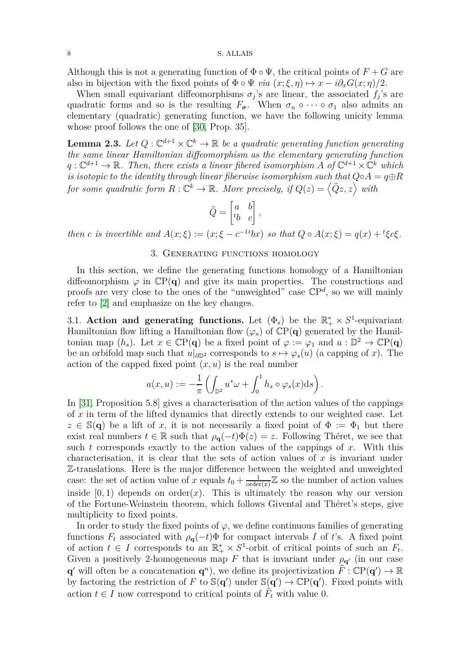Although this is not a generating function of  $\Phi \circ \Psi$ , the critical points of  $F + G$  are also in bijection with the fixed points of  $\Phi \circ \Psi$  *via*  $(x;\xi,\eta) \mapsto x - i \partial_x G(x;\eta)/2$ .

When small equivariant diffeomorphisms  $\sigma_j$ 's are linear, the associated  $f_j$ 's are quadratic forms and so is the resulting  $F_{\sigma}$ . When  $\sigma_n \circ \cdots \circ \sigma_1$  also admits an elementary (quadratic) generating function, we have the following unicity lemma whose proof follows the one of [\[30,](#page-21-8) Prop. 35].

<span id="page-7-1"></span>**Lemma 2.3.** Let  $Q: \mathbb{C}^{d+1} \times \mathbb{C}^k \to \mathbb{R}$  be a quadratic generating function generating *the same linear Hamiltonian diffeomorphism as the elementary generating function*  $q: \mathbb{C}^{d+1} \to \mathbb{R}$ . Then, there exists a linear fibered isomorphism A of  $\mathbb{C}^{d+1} \times \mathbb{C}^k$  which *is isotopic to the identity through linear fiberwise isomorphism such that*  $Q \circ A = q \oplus R$ *for some quadratic form*  $R: \mathbb{C}^k \to \mathbb{R}$ *. More precisely, if*  $Q(z) = \langle \tilde{Q}z, z \rangle$  with

$$
\tilde{Q} = \begin{bmatrix} a & b \\ {}^t b & c \end{bmatrix},
$$

<span id="page-7-0"></span>then c is invertible and  $A(x;\xi) := (x;\xi - c^{-1t}bx)$  so that  $Q \circ A(x;\xi) = q(x) + {}^t \xi c \xi$ .

# 3. Generating functions homology

In this section, we define the generating functions homology of a Hamiltonian diffeomorphism  $\varphi$  in  $\mathbb{C}P(q)$  and give its main properties. The constructions and proofs are very close to the ones of the "unweighted" case CP *d* , so we will mainly refer to [\[2\]](#page-20-15) and emphasize on the key changes.

3.1. **Action and generating functions.** Let  $(\Phi_s)$  be the  $\mathbb{R}^*$  ×  $S^1$ -equivariant Hamiltonian flow lifting a Hamiltonian flow  $(\varphi_s)$  of  $\mathbb{CP}(\mathbf{q})$  generated by the Hamiltonian map  $(h_s)$ . Let  $x \in \mathbb{C}P(q)$  be a fixed point of  $\varphi := \varphi_1$  and  $u : \mathbb{D}^2 \to \mathbb{C}P(q)$ be an orbifold map such that  $u|_{\partial \mathbb{D}^2}$  corresponds to  $s \mapsto \varphi_s(u)$  (a capping of *x*). The action of the capped fixed point  $(x, u)$  is the real number

$$
a(x, u) := -\frac{1}{\pi} \left( \int_{\mathbb{D}^2} u^* \omega + \int_0^1 h_s \circ \varphi_s(x) \mathrm{d}s \right)
$$

*.*

In [\[31,](#page-21-3) Proposition 5.8] gives a characterisation of the action values of the cappings of *x* in term of the lifted dynamics that directly extends to our weighted case. Let  $z \in \mathbb{S}(q)$  be a lift of *x*, it is not necessarily a fixed point of  $\Phi := \Phi_1$  but there exist real numbers  $t \in \mathbb{R}$  such that  $\rho_{\mathbf{q}}(-t)\Phi(z) = z$ . Following Théret, we see that such *t* corresponds exactly to the action values of the cappings of *x*. With this characterisation, it is clear that the sets of action values of *x* is invariant under Z-translations. Here is the major difference between the weighted and unweighted case: the set of action value of *x* equals  $t_0 + \frac{1}{\text{order}}$  $\frac{1}{\text{order}(x)}\mathbb{Z}$  so the number of action values inside  $[0, 1)$  depends on order $(x)$ . This is ultimately the reason why our version of the Fortune-Weinstein theorem, which follows Givental and Théret's steps, give multiplicity to fixed points.

In order to study the fixed points of  $\varphi$ , we define continuous families of generating functions  $F_t$  associated with  $\rho_{\bf q}(-t)\Phi$  for compact intervals *I* of *t*'s. A fixed point of action  $t \in I$  corresponds to an  $\mathbb{R}_+^* \times S^1$ -orbit of critical points of such an  $F_t$ . Given a positively 2-homogeneous map *F* that is invariant under  $\rho_{q'}$  (in our case **q**<sup> $\alpha$ </sup> will often be a concatenation **q**<sup>n</sup>), we define its projectivization  $\hat{F}$  :  $\mathbb{C}P(\mathbf{q}') \to \mathbb{R}$ by factoring the restriction of *F* to  $\mathbb{S}(q')$  under  $\mathbb{S}(q') \to \mathbb{C}P(q')$ . Fixed points with action  $t \in I$  now correspond to critical points of  $F_t$  with value 0.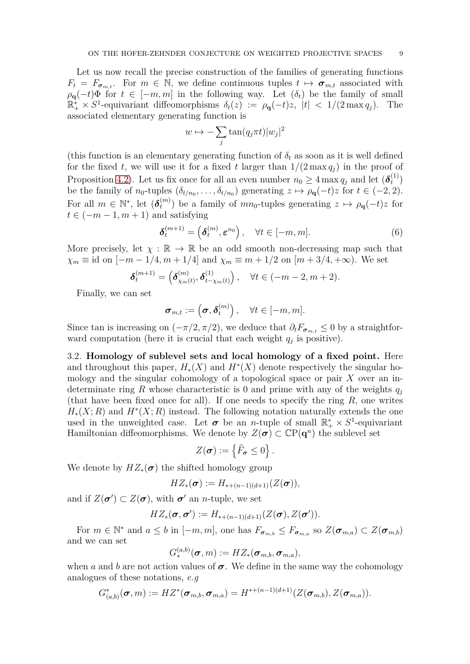Let us now recall the precise construction of the families of generating functions  $F_t = F_{\sigma_{m,t}}$ . For  $m \in \mathbb{N}$ , we define continuous tuples  $t \mapsto \sigma_{m,t}$  associated with  $\rho$ **q**(−*t*)Φ for *t* ∈ [−*m, m*] in the following way. Let  $(\delta_t)$  be the family of small  $\mathbb{R}^*_+ \times S^1$ -equivariant diffeomorphisms  $\delta_t(z) := \rho_{\mathbf{q}}(-t)z$ ,  $|t| < 1/(2 \max q_j)$ . The associated elementary generating function is

$$
w \mapsto -\sum_{j} \tan(q_j \pi t) |w_j|^2
$$

(this function is an elementary generating function of  $\delta_t$  as soon as it is well defined for the fixed *t*, we will use it for a fixed *t* larger than  $1/(2 \max q_i)$  in the proof of Proposition [4.2\)](#page-15-0). Let us fix once for all an even number  $n_0 \ge 4 \max q_j$  and let  $(\delta_t^{(1)})$  $\binom{1}{t}$ be the family of  $n_0$ -tuples  $(\delta_{t/n_0}, \ldots, \delta_{t/n_0})$  generating  $z \mapsto \rho_{\mathbf{q}}(-t)z$  for  $t \in (-2, 2)$ . For all  $m \in \mathbb{N}^*$ , let  $(\boldsymbol{\delta}_t^{(m)})$  $t^{(m)}$  be a family of  $mn_0$ -tuples generating  $z \mapsto \rho_{\mathbf{q}}(-t)z$  for  $t \in (-m-1, m+1)$  and satisfying

$$
\boldsymbol{\delta}_t^{(m+1)} = (\boldsymbol{\delta}_t^{(m)}, \boldsymbol{\varepsilon}^{n_0}), \quad \forall t \in [-m, m]. \tag{6}
$$

More precisely, let  $\chi : \mathbb{R} \to \mathbb{R}$  be an odd smooth non-decreasing map such that  $\chi_m \equiv \text{id}$  on  $[-m-1/4, m+1/4]$  and  $\chi_m \equiv m+1/2$  on  $[m+3/4, +\infty)$ . We set

$$
\delta_t^{(m+1)} = (\delta_{\chi_m(t)}^{(m)}, \delta_{t-\chi_m(t)}^{(1)}), \quad \forall t \in (-m-2, m+2).
$$

Finally, we can set

$$
\boldsymbol{\sigma}_{m,t} := \left(\boldsymbol{\sigma}, \boldsymbol{\delta}_t^{(m)}\right), \quad \forall t \in [-m, m].
$$

Since tan is increasing on  $(-\pi/2, \pi/2)$ , we deduce that  $\partial_t F_{\sigma_{m,t}} \leq 0$  by a straightforward computation (here it is crucial that each weight  $q_j$  is positive).

3.2. **Homology of sublevel sets and local homology of a fixed point.** Here and throughout this paper,  $H_*(X)$  and  $H^*(X)$  denote respectively the singular homology and the singular cohomology of a topological space or pair *X* over an indeterminate ring *R* whose characteristic is 0 and prime with any of the weights *q<sup>j</sup>* (that have been fixed once for all). If one needs to specify the ring *R*, one writes  $H_*(X; R)$  and  $H^*(X; R)$  instead. The following notation naturally extends the one used in the unweighted case. Let  $\sigma$  be an *n*-tuple of small  $\mathbb{R}_+^* \times S^1$ -equivariant Hamiltonian diffeomorphisms. We denote by  $Z(\sigma) \subset \mathbb{C}P(q^n)$  the sublevel set

$$
Z(\boldsymbol{\sigma}) := \left\{ \widehat{F}_{\boldsymbol{\sigma}} \leq 0 \right\}.
$$

We denote by  $HZ_*(\sigma)$  the shifted homology group

$$
HZ_*(\sigma) := H_{*+(n-1)(d+1)}(Z(\sigma)),
$$

and if  $Z(\sigma') \subset Z(\sigma)$ , with  $\sigma'$  an *n*-tuple, we set

$$
HZ_*(\boldsymbol{\sigma},\boldsymbol{\sigma}') := H_{*+(n-1)(d+1)}(Z(\boldsymbol{\sigma}),Z(\boldsymbol{\sigma}')).
$$

For  $m \in \mathbb{N}^*$  and  $a \leq b$  in  $[-m, m]$ , one has  $F_{\sigma_{m,b}} \leq F_{\sigma_{m,a}}$  so  $Z(\sigma_{m,a}) \subset Z(\sigma_{m,b})$ and we can set

$$
G^{(a,b)}_*(\boldsymbol{\sigma},m):=HZ_*(\boldsymbol{\sigma}_{m,b},\boldsymbol{\sigma}_{m,a}),
$$

when *a* and *b* are not action values of  $\sigma$ . We define in the same way the cohomology analogues of these notations, *e.g*

$$
G_{(a,b)}^*(\boldsymbol{\sigma},m):=H Z^*(\boldsymbol{\sigma}_{m,b},\boldsymbol{\sigma}_{m,a})=H^{*+(n-1)(d+1)}(Z(\boldsymbol{\sigma}_{m,b}),Z(\boldsymbol{\sigma}_{m,a})).
$$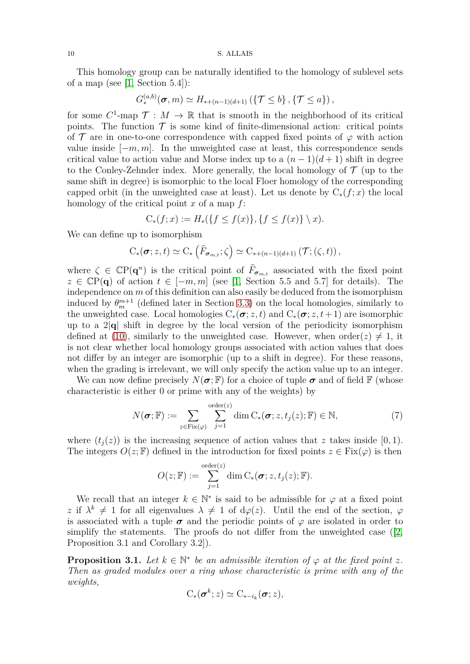This homology group can be naturally identified to the homology of sublevel sets of a map (see  $[1, Section 5.4]$ ):

$$
G_{*}^{(a,b)}(\boldsymbol{\sigma},m) \simeq H_{*+(n-1)(d+1)}\left(\{\mathcal{T} \leq b\},\{\mathcal{T} \leq a\}\right),\
$$

for some  $C^1$ -map  $\mathcal{T}: M \to \mathbb{R}$  that is smooth in the neighborhood of its critical points. The function  $\mathcal T$  is some kind of finite-dimensional action: critical points of  $\mathcal T$  are in one-to-one correspondence with capped fixed points of  $\varphi$  with action value inside  $[-m, m]$ . In the unweighted case at least, this correspondence sends critical value to action value and Morse index up to a  $(n-1)(d+1)$  shift in degree to the Conley-Zehnder index. More generally, the local homology of  $\mathcal T$  (up to the same shift in degree) is isomorphic to the local Floer homology of the corresponding capped orbit (in the unweighted case at least). Let us denote by  $C_*(f; x)$  the local homology of the critical point *x* of a map *f*:

$$
C_*(f; x) := H_*(\{f \le f(x)\}, \{f \le f(x)\} \setminus x).
$$

We can define up to isomorphism

$$
C_*(\sigma; z, t) \simeq C_* \left( \widehat{F}_{\sigma_{m,t}}; \zeta \right) \simeq C_{* + (n-1)(d+1)} \left( \mathcal{T}; (\zeta, t) \right),
$$

where  $\zeta \in \mathbb{C}P(q^n)$  is the critical point of  $\widehat{F}_{\sigma_{m,t}}$  associated with the fixed point  $z \in \mathbb{C}P(q)$  of action  $t \in [-m, m]$  (see [\[1,](#page-20-21) Section 5.5 and 5.7] for details). The independence on *m* of this definition can also easily be deduced from the isomorphism induced by  $\theta_m^{m+1}$  (defined later in Section [3.3\)](#page-10-0) on the local homologies, similarly to the unweighted case. Local homologies  $C_*(\sigma; z, t)$  and  $C_*(\sigma; z, t+1)$  are isomorphic up to a 2|**q**| shift in degree by the local version of the periodicity isomorphism defined at [\(10\)](#page-12-0), similarly to the unweighted case. However, when order(*z*)  $\neq$  1, it is not clear whether local homology groups associated with action values that does not differ by an integer are isomorphic (up to a shift in degree). For these reasons, when the grading is irrelevant, we will only specify the action value up to an integer.

We can now define precisely  $N(\sigma;\mathbb{F})$  for a choice of tuple  $\sigma$  and of field  $\mathbb{F}$  (whose characteristic is either 0 or prime with any of the weights) by

<span id="page-9-0"></span>
$$
N(\boldsymbol{\sigma}; \mathbb{F}) := \sum_{z \in \text{Fix}(\varphi)} \sum_{j=1}^{\text{order}(z)} \dim C_*(\boldsymbol{\sigma}; z, t_j(z); \mathbb{F}) \in \mathbb{N}, \tag{7}
$$

where  $(t_i(z))$  is the increasing sequence of action values that *z* takes inside [0,1]. The integers  $O(z;\mathbb{F})$  defined in the introduction for fixed points  $z \in Fix(\varphi)$  is then

$$
O(z; \mathbb{F}) := \sum_{j=1}^{\text{order}(z)} \dim C_*(\boldsymbol{\sigma}; z, t_j(z); \mathbb{F}).
$$

We recall that an integer  $k \in \mathbb{N}^*$  is said to be admissible for  $\varphi$  at a fixed point *z* if  $\lambda^k \neq 1$  for all eigenvalues  $\lambda \neq 1$  of  $d\varphi(z)$ . Until the end of the section,  $\varphi$ is associated with a tuple  $\sigma$  and the periodic points of  $\varphi$  are isolated in order to simplifythe statements. The proofs do not differ from the unweighted case ([\[2,](#page-20-15) Proposition 3.1 and Corollary 3.2]).

<span id="page-9-1"></span>**Proposition 3.1.** Let  $k \in \mathbb{N}^*$  be an admissible iteration of  $\varphi$  at the fixed point  $z$ . *Then as graded modules over a ring whose characteristic is prime with any of the weights,*

$$
C_*(\boldsymbol{\sigma}^k; z) \simeq C_{*-i_k}(\boldsymbol{\sigma}; z),
$$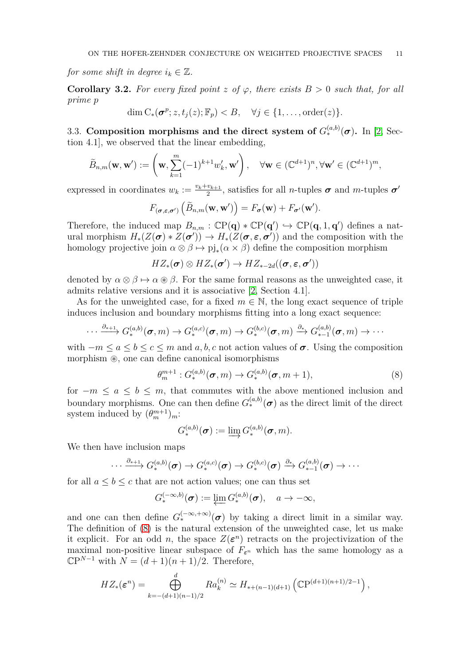*for some shift in degree*  $i_k \in \mathbb{Z}$ .

<span id="page-10-2"></span>**Corollary 3.2.** For every fixed point  $z$  of  $\varphi$ , there exists  $B > 0$  such that, for all *prime p*

$$
\dim C_*(\sigma^p; z, t_j(z); \mathbb{F}_p) < B, \quad \forall j \in \{1, \dots, \text{order}(z)\}.
$$

<span id="page-10-0"></span>3.3. Composition morphisms and the direct system of  $G_*^{(a,b)}(\sigma)$ . In [\[2,](#page-20-15) Section 4.1], we observed that the linear embedding,

$$
\widetilde{B}_{n,m}(\mathbf{w},\mathbf{w}') := \left(\mathbf{w}, \sum_{k=1}^m (-1)^{k+1} w'_k, \mathbf{w}'\right), \quad \forall \mathbf{w} \in (\mathbb{C}^{d+1})^n, \forall \mathbf{w}' \in (\mathbb{C}^{d+1})^m,
$$

expressed in coordinates  $w_k := \frac{v_k + v_{k+1}}{2}$  $\frac{v_{k+1}}{2}$ , satisfies for all *n*-tuples  $\sigma$  and *m*-tuples  $\sigma'$ 

$$
F_{(\sigma,\varepsilon,\sigma')}(\tilde{B}_{n,m}(\mathbf{w},\mathbf{w}'))=F_{\sigma}(\mathbf{w})+F_{\sigma'}(\mathbf{w}').
$$

Therefore, the induced map  $B_{n,m}$ :  $\mathbb{CP}(\mathbf{q}) * \mathbb{CP}(\mathbf{q}') \hookrightarrow \mathbb{CP}(\mathbf{q}, 1, \mathbf{q}')$  defines a natural morphism  $H_*(Z(\sigma) * Z(\sigma')) \to H_*(Z(\sigma, \varepsilon, \sigma'))$  and the composition with the homology projective join  $\alpha \otimes \beta \mapsto \text{pi}_*(\alpha \times \beta)$  define the composition morphism

$$
HZ_*(\pmb{\sigma}) \otimes HZ_*(\pmb{\sigma}') \rightarrow HZ_{*-2d}((\pmb{\sigma},\pmb{\varepsilon},\pmb{\sigma}'))
$$

denoted by  $\alpha \otimes \beta \mapsto \alpha \otimes \beta$ . For the same formal reasons as the unweighted case, it admits relative versions and it is associative [\[2,](#page-20-15) Section 4.1].

As for the unweighted case, for a fixed  $m \in \mathbb{N}$ , the long exact sequence of triple induces inclusion and boundary morphisms fitting into a long exact sequence:

$$
\cdots \xrightarrow{\partial_{*+1}} G_{*}^{(a,b)}(\boldsymbol{\sigma},m) \rightarrow G_{*}^{(a,c)}(\boldsymbol{\sigma},m) \rightarrow G_{*}^{(b,c)}(\boldsymbol{\sigma},m) \xrightarrow{\partial_{*}} G_{*-1}^{(a,b)}(\boldsymbol{\sigma},m) \rightarrow \cdots
$$

with  $-m \le a \le b \le c \le m$  and  $a, b, c$  not action values of  $\sigma$ . Using the composition morphism ⊛, one can define canonical isomorphisms

<span id="page-10-1"></span>
$$
\theta_m^{m+1}: G_*^{(a,b)}(\boldsymbol{\sigma},m) \to G_*^{(a,b)}(\boldsymbol{\sigma},m+1), \tag{8}
$$

for  $-m \le a \le b \le m$ , that commutes with the above mentioned inclusion and boundary morphisms. One can then define  $G_*^{(a,b)}(\sigma)$  as the direct limit of the direct system induced by  $(\theta_m^{m+1})_m$ :

$$
G^{(a,b)}_*(\boldsymbol{\sigma}) := \varinjlim G^{(a,b)}_*(\boldsymbol{\sigma},m).
$$

We then have inclusion maps

$$
\cdots \xrightarrow{\partial_{*+1}} G^{(a,b)}_*(\boldsymbol{\sigma}) \to G^{(a,c)}_*(\boldsymbol{\sigma}) \to G^{(b,c)}_*(\boldsymbol{\sigma}) \xrightarrow{\partial_{*}} G^{(a,b)}_{*-1}(\boldsymbol{\sigma}) \to \cdots
$$

for all  $a \leq b \leq c$  that are not action values; one can thus set

$$
G_*^{(-\infty,b)}(\boldsymbol{\sigma}) := \varprojlim G_*^{(a,b)}(\boldsymbol{\sigma}), \quad a \to -\infty,
$$

and one can then define  $G_*^{(-\infty, +\infty)}(\sigma)$  by taking a direct limit in a similar way. The definition of [\(8\)](#page-10-1) is the natural extension of the unweighted case, let us make it explicit. For an odd *n*, the space  $Z(\varepsilon^n)$  retracts on the projectivization of the maximal non-positive linear subspace of  $F_{\varepsilon}$ <sup>*n*</sup> which has the same homology as a  $\mathbb{C}P^{N-1}$  with  $N = (d+1)(n+1)/2$ . Therefore,

$$
HZ_*(\varepsilon^n) = \bigoplus_{k=-(d+1)(n-1)/2}^d Ra_k^{(n)} \simeq H_{*+(n-1)(d+1)}\left(\mathbb{C}\mathrm{P}^{(d+1)(n+1)/2-1}\right),
$$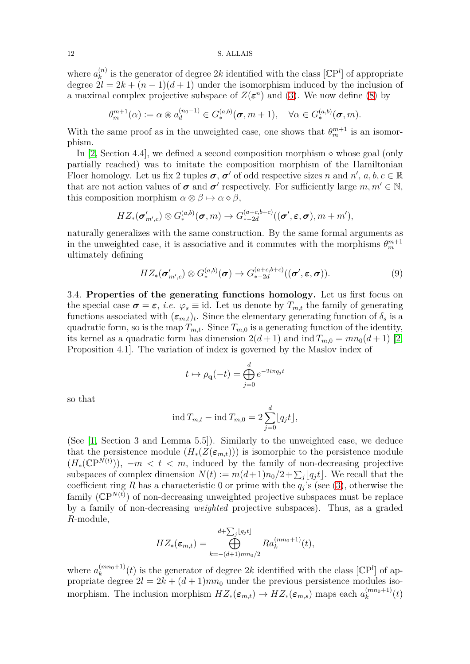where  $a_k^{(n)}$  $\binom{n}{k}$  is the generator of degree 2k identified with the class  $\mathbb{C}P^l$  of appropriate degree  $2l = 2k + (n-1)(d+1)$  under the isomorphism induced by the inclusion of a maximal complex projective subspace of  $Z(\varepsilon^n)$  and [\(3\)](#page-5-1). We now define [\(8\)](#page-10-1) by

$$
\theta_m^{m+1}(\alpha) := \alpha \circledast a_d^{(n_0-1)} \in G_*^{(a,b)}(\boldsymbol{\sigma}, m+1), \quad \forall \alpha \in G_*^{(a,b)}(\boldsymbol{\sigma}, m).
$$

With the same proof as in the unweighted case, one shows that  $\theta_m^{m+1}$  is an isomorphism.

In [\[2,](#page-20-15) Section 4.4], we defined a second composition morphism  $\diamond$  whose goal (only partially reached) was to imitate the composition morphism of the Hamiltonian Floer homology. Let us fix 2 tuples  $\sigma$ ,  $\sigma'$  of odd respective sizes *n* and  $n'$ ,  $a, b, c \in \mathbb{R}$ that are not action values of  $\sigma$  and  $\sigma'$  respectively. For sufficiently large  $m, m' \in \mathbb{N}$ , this composition morphism  $\alpha \otimes \beta \mapsto \alpha \otimes \beta$ ,

$$
HZ_*(\boldsymbol{\sigma}'_{m',c}) \otimes G_*^{(a,b)}(\boldsymbol{\sigma},m) \rightarrow G_{*-2d}^{(a+c,b+c)}((\boldsymbol{\sigma}',\boldsymbol{\varepsilon},\boldsymbol{\sigma}),m+m'),
$$

naturally generalizes with the same construction. By the same formal arguments as in the unweighted case, it is associative and it commutes with the morphisms  $\theta_m^{m+1}$ ultimately defining

<span id="page-11-0"></span>
$$
HZ_*(\sigma'_{m',c}) \otimes G_*^{(a,b)}(\sigma) \to G_{*-2d}^{(a+c,b+c)}((\sigma', \varepsilon, \sigma)).
$$
\n(9)

3.4. **Properties of the generating functions homology.** Let us first focus on the special case  $\sigma = \varepsilon$ , *i.e.*  $\varphi_s \equiv$  id. Let us denote by  $T_{m,t}$  the family of generating functions associated with  $(\epsilon_{m,t})_t$ . Since the elementary generating function of  $\delta_s$  is a quadratic form, so is the map  $T_{m,t}$ . Since  $T_{m,0}$  is a generating function of the identity, its kernel as a quadratic form has dimension  $2(d+1)$  and  $\text{ind } T_{m,0} = mn_0(d+1)$  [\[2,](#page-20-15) Proposition 4.1]. The variation of index is governed by the Maslov index of

$$
t \mapsto \rho_{\mathbf{q}}(-t) = \bigoplus_{j=0}^{d} e^{-2i\pi q_j t}
$$

so that

$$
\operatorname{ind} T_{m,t} - \operatorname{ind} T_{m,0} = 2 \sum_{j=0}^{d} \lfloor q_j t \rfloor,
$$

(See [\[1,](#page-20-21) Section 3 and Lemma 5.5]). Similarly to the unweighted case, we deduce that the persistence module  $(H_*(Z(\epsilon_{m,t})))$  is isomorphic to the persistence module  $(H_*(\mathbb{CP}^{N(t)})), -m < t < m$ , induced by the family of non-decreasing projective subspaces of complex dimension  $N(t) := m(d+1)n_0/2 + \sum_j \lfloor q_j t \rfloor$ . We recall that the coefficient ring *R* has a characteristic 0 or prime with the  $q_j$ 's (see [\(3\)](#page-5-1), otherwise the family  $(\mathbb{C}P^{N(t)})$  of non-decreasing unweighted projective subspaces must be replace by a family of non-decreasing *weighted* projective subspaces). Thus, as a graded *R*-module,

$$
HZ_*(\varepsilon_{m,t}) = \bigoplus_{k=-(d+1)mn_0/2}^{d+\sum_j \lfloor q_j t \rfloor} Ra_k^{(mn_0+1)}(t),
$$

where  $a_k^{(mn_0+1)}$  $\binom{(mn_0+1)}{k}(t)$  is the generator of degree 2k identified with the class  $[\mathbb{C}P^l]$  of appropriate degree  $2l = 2k + (d+1)mn_0$  under the previous persistence modules isomorphism. The inclusion morphism  $HZ_*(\epsilon_{m,t}) \to HZ_*(\epsilon_{m,s})$  maps each  $a_k^{(mn_0+1)}$  $k^{(mn_0+1)}(t)$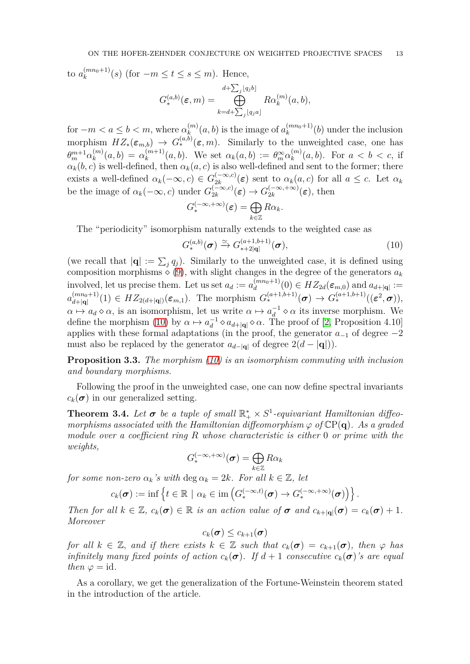to  $a_k^{(mn_0+1)}$  $\binom{(mn_0+1)}{k}(s)$  (for  $-m \leq t \leq s \leq m$ ). Hence,

$$
G^{(a,b)}_{*}(\varepsilon,m) = \bigoplus_{k=d+\sum_j [q_j a]}^{d+\sum_j [q_j b]} R \alpha_k^{(m)}(a,b),
$$

for  $-m < a \leq b < m$ , where  $\alpha_k^{(m)}(a, b)$  is the image of  $a_k^{(mn_0+1)}(b)$  under the inclusion  $\lim_{m \to \infty} HZ_*(\epsilon_{m,b}) \to G_*^{(a,b)}(\epsilon,m)$ . Similarly to the unweighted case, one has  $\theta_m^{m+1} \alpha_k^{(m)}$  $\alpha_k^{(m)}(a,b) = \alpha_k^{(m+1)}$  $(k^{(m+1)}(a, b)$ . We set  $\alpha_k(a, b) := \theta_m^{\infty} \alpha_k^{(m)}$  $\binom{m}{k}(a, b)$ . For  $a < b < c$ , if  $\alpha_k(b, c)$  is well-defined, then  $\alpha_k(a, c)$  is also well-defined and sent to the former; there exists a well-defined  $\alpha_k(-\infty, c) \in G_{2k}^{(-\infty, c)}$  $\frac{(-\infty,c)}{2k}(\varepsilon)$  sent to  $\alpha_k(a,c)$  for all  $a \leq c$ . Let  $\alpha_k$ be the image of  $\alpha_k(-\infty, c)$  under  $G_{2k}^{(-\infty, c)}$  $\frac{(-\infty,c)}{2k}(\boldsymbol{\varepsilon}) \to G_{2k}^{(-\infty,+\infty)}$  $\binom{(-\infty, +\infty)}{2k} (\varepsilon)$ , then

$$
G_*^{(-\infty,+\infty)}(\varepsilon)=\bigoplus_{k\in\mathbb{Z}}R\alpha_k.
$$

The "periodicity" isomorphism naturally extends to the weighted case as

<span id="page-12-0"></span>
$$
G_{*}^{(a,b)}(\boldsymbol{\sigma}) \xrightarrow{\simeq} G_{*+2|\mathbf{q}|}^{(a+1,b+1)}(\boldsymbol{\sigma}),\tag{10}
$$

(we recall that  $|\mathbf{q}| := \sum_j q_j$ ). Similarly to the unweighted case, it is defined using composition morphisms  $\diamond$  [\(9\)](#page-11-0), with slight changes in the degree of the generators  $a_k$ involved, let us precise them. Let us set  $a_d := a_d^{(mn_0+1)}$  $\binom{(mn_0+1)}{d}(0) \in HZ_{2d}(\varepsilon_{m,0})$  and  $a_{d+|\mathbf{q}|} :=$  $a_{d+|\mathbf{q}|}^{(mn_0+1)}$  $G_*^{(mn_0+1)}(1) \in HZ_{2(d+|\mathbf{q}|)}(\varepsilon_{m,1}).$  The morphism  $G_*^{(a+1,b+1)}(\sigma) \to G_*^{(a+1,b+1)}((\varepsilon^2, \sigma)),$  $\alpha \mapsto a_d \diamond \alpha$ , is an isomorphism, let us write  $\alpha \mapsto a_d^{-1} \diamond \alpha$  its inverse morphism. We define the morphism [\(10\)](#page-12-0) by  $\alpha \mapsto a_d^{-1} \diamond a_{d+|\mathbf{q}|} \diamond \alpha$ . The proof of [\[2,](#page-20-15) Proposition 4.10] applies with these formal adaptations (in the proof, the generator  $a_{-1}$  of degree  $-2$ must also be replaced by the generator  $a_{d-|\mathbf{q}|}$  of degree  $2(d-|\mathbf{q}|)$ .

**Proposition 3.3.** *The morphism [\(10\)](#page-12-0) is an isomorphism commuting with inclusion and boundary morphisms.*

Following the proof in the unweighted case, one can now define spectral invariants  $c_k(\sigma)$  in our generalized setting.

<span id="page-12-1"></span>**Theorem 3.4.** Let  $\sigma$  be a tuple of small  $\mathbb{R}^*_+ \times S^1$ -equivariant Hamiltonian diffeo*morphisms associated with the Hamiltonian diffeomorphism*  $\varphi$  *of*  $\mathbb{C}P(q)$ *. As a graded module over a coefficient ring R whose characteristic is either* 0 *or prime with the weights,*

$$
G_*^{(-\infty,+\infty)}(\pmb{\sigma})=\bigoplus_{k\in\mathbb{Z}}R\alpha_k
$$

*for some non-zero*  $\alpha_k$ 's with  $\deg \alpha_k = 2k$ *. For all*  $k \in \mathbb{Z}$ *, let* 

$$
c_k(\boldsymbol{\sigma}) := \inf \left\{ t \in \mathbb{R} \mid \alpha_k \in \text{im} \left( G_*^{(-\infty, t)}(\boldsymbol{\sigma}) \to G_*^{(-\infty, +\infty)}(\boldsymbol{\sigma}) \right) \right\}.
$$

*Then for all*  $k \in \mathbb{Z}$ ,  $c_k(\sigma) \in \mathbb{R}$  *is an action value of*  $\sigma$  *and*  $c_{k+|\sigma|}(\sigma) = c_k(\sigma) + 1$ *. Moreover*

$$
c_k(\boldsymbol{\sigma}) \leq c_{k+1}(\boldsymbol{\sigma})
$$

*for all*  $k \in \mathbb{Z}$ *, and if there exists*  $k \in \mathbb{Z}$  *such that*  $c_k(\sigma) = c_{k+1}(\sigma)$ *, then*  $\varphi$  *has infinitely many fixed points of action*  $c_k(\sigma)$ . If  $d+1$  *consecutive*  $c_k(\sigma)$ *'s are equal then*  $\varphi$  = *id.* 

As a corollary, we get the generalization of the Fortune-Weinstein theorem stated in the introduction of the article.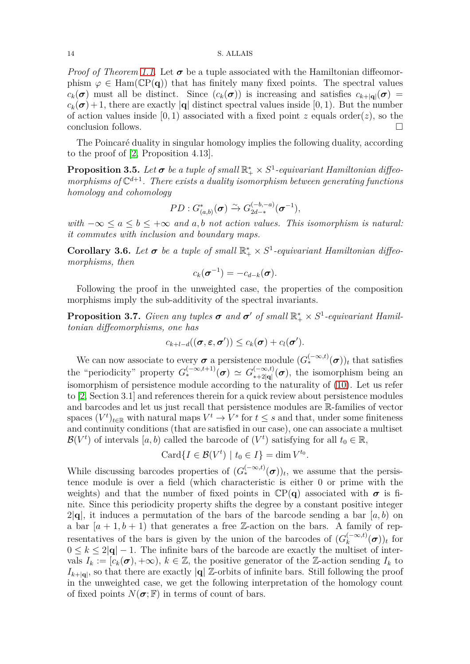*Proof of Theorem [1.1.](#page-0-0)* Let  $\sigma$  be a tuple associated with the Hamiltonian diffeomorphism  $\varphi \in \text{Ham}(\mathbb{C}P(q))$  that has finitely many fixed points. The spectral values  $c_k(\sigma)$  must all be distinct. Since  $(c_k(\sigma))$  is increasing and satisfies  $c_{k+|\mathbf{q}|}(\sigma)$  =  $c_k(\sigma) + 1$ , there are exactly |**q**| distinct spectral values inside [0, 1). But the number of action values inside  $[0, 1)$  associated with a fixed point *z* equals order(*z*), so the conclusion follows.

The Poincaré duality in singular homology implies the following duality, according to the proof of [\[2,](#page-20-15) Proposition 4.13].

**Proposition 3.5.** Let  $\sigma$  be a tuple of small  $\mathbb{R}^*_+ \times S^1$ -equivariant Hamiltonian diffeomorphisms of  $\mathbb{C}^{d+1}$ . There exists a duality isomorphism between generating functions *homology and cohomology*

$$
PD: G_{(a,b)}^*(\sigma) \xrightarrow{\sim} G_{2d-*}^{(-b,-a)}(\sigma^{-1}),
$$

*with*  $-\infty \le a \le b \le +\infty$  *and a,b not action values. This isomorphism is natural: it commutes with inclusion and boundary maps.*

**Corollary 3.6.** Let  $\sigma$  be a tuple of small  $\mathbb{R}^*_+ \times S^1$ -equivariant Hamiltonian diffeo*morphisms, then*

$$
c_k(\boldsymbol{\sigma}^{-1}) = -c_{d-k}(\boldsymbol{\sigma}).
$$

Following the proof in the unweighted case, the properties of the composition morphisms imply the sub-additivity of the spectral invariants.

**Proposition 3.7.** *Given any tuples*  $\sigma$  *and*  $\sigma'$  *of small*  $\mathbb{R}_+^* \times S^1$ -equivariant Hamil*tonian diffeomorphisms, one has*

$$
c_{k+l-d}((\boldsymbol{\sigma},\boldsymbol{\varepsilon},\boldsymbol{\sigma}')) \leq c_k(\boldsymbol{\sigma})+c_l(\boldsymbol{\sigma}').
$$

We can now associate to every  $\sigma$  a persistence module  $(G_*^{(-\infty,t)}(\sigma))_t$  that satisfies the "periodicity" property  $G_*^{(-\infty,t+1)}(\sigma) \simeq G_{*+2|\sigma|}^{(-\infty,t)}$  $\binom{(-\infty,t)}{*+2|\mathbf{q}|}(\boldsymbol{\sigma})$ , the isomorphism being an isomorphism of persistence module according to the naturality of [\(10\)](#page-12-0). Let us refer to [\[2,](#page-20-15) Section 3.1] and references therein for a quick review about persistence modules and barcodes and let us just recall that persistence modules are R-families of vector spaces  $(V^t)_{t \in \mathbb{R}}$  with natural maps  $V^t \to V^s$  for  $t \leq s$  and that, under some finiteness and continuity conditions (that are satisfied in our case), one can associate a multiset  $\mathcal{B}(V^t)$  of intervals [a, b) called the barcode of  $(V^t)$  satisfying for all  $t_0 \in \mathbb{R}$ ,

$$
Card{I \in \mathcal{B}(V^t) \mid t_0 \in I} = \dim V^{t_0}.
$$

While discussing barcodes properties of  $(G_*^{(-\infty,t)}(\sigma))_t$ , we assume that the persistence module is over a field (which characteristic is either 0 or prime with the weights) and that the number of fixed points in  $\mathbb{C}P(q)$  associated with  $\sigma$  is finite. Since this periodicity property shifts the degree by a constant positive integer 2|**q**|, it induces a permutation of the bars of the barcode sending a bar [*a, b*) on a bar  $[a + 1, b + 1]$  that generates a free Z-action on the bars. A family of representatives of the bars is given by the union of the barcodes of  $(G_k^{(-\infty,t)}$  $_{k}^{(-\infty,t)}(\boldsymbol{\sigma}))_t$  for  $0 \leq k \leq 2|\mathbf{q}| - 1$ . The infinite bars of the barcode are exactly the multiset of intervals  $I_k := [c_k(\sigma), +\infty), k \in \mathbb{Z}$ , the positive generator of the Z-action sending  $I_k$  to  $I_{k+|\mathbf{q}|}$ , so that there are exactly  $|\mathbf{q}| \mathbb{Z}$ -orbits of infinite bars. Still following the proof in the unweighted case, we get the following interpretation of the homology count of fixed points  $N(\sigma;\mathbb{F})$  in terms of count of bars.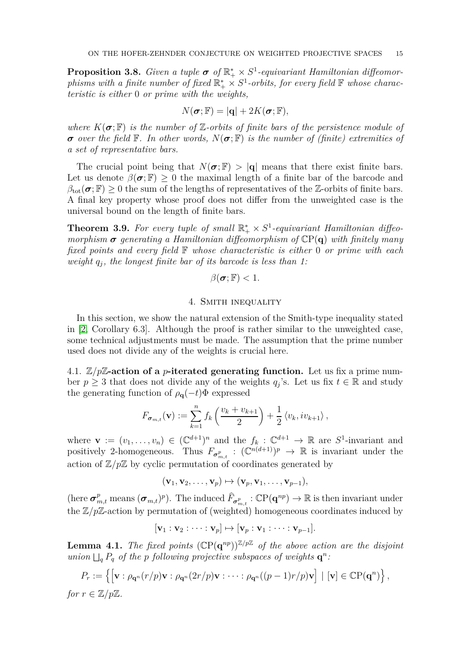<span id="page-14-3"></span>**Proposition 3.8.** *Given a tuple*  $\sigma$  *of*  $\mathbb{R}^*_+ \times S^1$ -equivariant Hamiltonian diffeomor*phisms with a finite number of fixed*  $\mathbb{R}_+^* \times S^1$ -orbits, for every field  $\mathbb F$  whose charac*teristic is either* 0 *or prime with the weights,*

$$
N(\boldsymbol{\sigma}; \mathbb{F}) = |\mathbf{q}| + 2K(\boldsymbol{\sigma}; \mathbb{F}),
$$

*where*  $K(\sigma; \mathbb{F})$  *is the number of* Z-*orbits of finite bars of the persistence module of*  $\sigma$  *over the field*  $\mathbb{F}$ *. In other words,*  $N(\sigma;\mathbb{F})$  *is the number of (finite) extremities of a set of representative bars.*

The crucial point being that  $N(\sigma, \mathbb{F}) > |\mathbf{q}|$  means that there exist finite bars. Let us denote  $\beta(\sigma, \mathbb{F}) > 0$  the maximal length of a finite bar of the barcode and  $\beta_{\text{tot}}(\sigma; \mathbb{F}) \geq 0$  the sum of the lengths of representatives of the Z-orbits of finite bars. A final key property whose proof does not differ from the unweighted case is the universal bound on the length of finite bars.

<span id="page-14-0"></span>**Theorem 3.9.** For every tuple of small  $\mathbb{R}^*_+ \times S^1$ -equivariant Hamiltonian diffeo*morphism*  $\sigma$  *generating* a Hamiltonian diffeomorphism of  $\mathbb{CP}(\mathbf{q})$  with finitely many *fixed points and every field* F *whose characteristic is either* 0 *or prime with each weight q<sup>j</sup> , the longest finite bar of its barcode is less than 1:*

$$
\beta(\pmb{\sigma}; \mathbb{F}) < 1.
$$

## 4. Smith inequality

<span id="page-14-1"></span>In this section, we show the natural extension of the Smith-type inequality stated in [\[2,](#page-20-15) Corollary 6.3]. Although the proof is rather similar to the unweighted case, some technical adjustments must be made. The assumption that the prime number used does not divide any of the weights is crucial here.

4.1.  $\mathbb{Z}/p\mathbb{Z}$ -action of a *p*-iterated generating function. Let us fix a prime number  $p \geq 3$  that does not divide any of the weights  $q_j$ 's. Let us fix  $t \in \mathbb{R}$  and study the generating function of  $\rho_{q}(-t)\Phi$  expressed

$$
F_{\boldsymbol{\sigma}_{m,t}}(\mathbf{v}) := \sum_{k=1}^n f_k\left(\frac{v_k + v_{k+1}}{2}\right) + \frac{1}{2} \langle v_k, iv_{k+1} \rangle,
$$

where  $\mathbf{v} := (v_1, \ldots, v_n) \in (\mathbb{C}^{d+1})^n$  and the  $f_k : \mathbb{C}^{d+1} \to \mathbb{R}$  are  $S^1$ -invariant and positively 2-homogeneous. Thus  $F_{\sigma^p_{m,t}}: (\mathbb{C}^{n(d+1)})^p \to \mathbb{R}$  is invariant under the action of  $\mathbb{Z}/p\mathbb{Z}$  by cyclic permutation of coordinates generated by

$$
(\mathbf{v}_1, \mathbf{v}_2, \ldots, \mathbf{v}_p) \mapsto (\mathbf{v}_p, \mathbf{v}_1, \ldots, \mathbf{v}_{p-1}),
$$

(here  $\sigma_{m,t}^p$  means  $(\sigma_{m,t})^p$ ). The induced  $\widehat{F}_{\sigma_{m,t}^p}$ :  $\mathbb{CP}(\mathbf{q}^{np}) \to \mathbb{R}$  is then invariant under the Z*/p*Z-action by permutation of (weighted) homogeneous coordinates induced by

$$
[\mathbf{v}_1:\mathbf{v}_2:\cdots:\mathbf{v}_p]\mapsto [\mathbf{v}_p:\mathbf{v}_1:\cdots:\mathbf{v}_{p-1}].
$$

<span id="page-14-2"></span>**Lemma 4.1.** *The fixed points*  $(\mathbb{C}P(q^{np}))^{\mathbb{Z}/p\mathbb{Z}}$  *of the above action are the disjoint union*  $\Box_q P_q$  *of the p following projective subspaces of weights*  $\mathbf{q}^n$ :

$$
P_r := \left\{ \left[ \mathbf{v} : \rho_{\mathbf{q}^n}(r/p) \mathbf{v} : \rho_{\mathbf{q}^n}(2r/p) \mathbf{v} : \cdots : \rho_{\mathbf{q}^n}((p-1)r/p) \mathbf{v} \right] \mid [\mathbf{v}] \in \mathbb{C}P(\mathbf{q}^n) \right\},
$$
  
or  $r \in \mathbb{Z}/n\mathbb{Z}$ 

*for*  $r \in \mathbb{Z}/p\mathbb{Z}$ *.*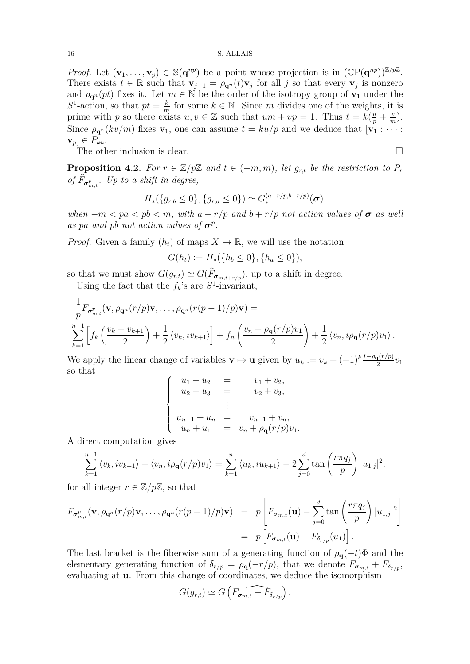*Proof.* Let  $(\mathbf{v}_1, \dots, \mathbf{v}_p) \in \mathbb{S}(\mathbf{q}^{np})$  be a point whose projection is in  $(\mathbb{C}P(\mathbf{q}^{np}))^{\mathbb{Z}/p\mathbb{Z}}$ . There exists  $t \in \mathbb{R}$  such that  $\mathbf{v}_{j+1} = \rho_{\mathbf{q}^n}(t)\mathbf{v}_j$  for all *j* so that every  $\mathbf{v}_j$  is nonzero and  $\rho_{\mathbf{q}^n}(pt)$  fixes it. Let  $m \in \mathbb{N}$  be the order of the isotropy group of  $\mathbf{v}_1$  under the  $S^1$ -action, so that  $pt = \frac{k}{m}$  $\frac{k}{m}$  for some  $k \in \mathbb{N}$ . Since *m* divides one of the weights, it is prime with *p* so there exists  $u, v \in \mathbb{Z}$  such that  $um + vp = 1$ . Thus  $t = k(\frac{u}{p} + \frac{v}{n})$  $\frac{v}{m}$ ). Since  $\rho_{\mathbf{q}^n}(kv/m)$  fixes  $\mathbf{v}_1$ , one can assume  $t = ku/p$  and we deduce that  $[\mathbf{v}_1 : \cdots :$  $\mathbf{v}_p$ ]  $\in P_{ku}$ .

The other inclusion is clear.  $\Box$ 

<span id="page-15-0"></span>**Proposition 4.2.** For  $r \in \mathbb{Z}/p\mathbb{Z}$  and  $t \in (-m, m)$ , let  $g_{r,t}$  be the restriction to  $P_r$ *of*  $F_{\sigma_{m,t}^p}$ . Up to a shift in degree,

$$
H_{*}(\{g_{r,b}\leq 0\},\{g_{r,a}\leq 0\})\simeq G^{(a+r/p,b+r/p)}_{*}(\sigma),
$$

*when*  $-m < pa < pb < m$ , with  $a + r/p$  and  $b + r/p$  not action values of  $\sigma$  as well *as pa and pb not action values of*  $\sigma^p$ .

*Proof.* Given a family  $(h_t)$  of maps  $X \to \mathbb{R}$ , we will use the notation

$$
G(h_t) := H_*(\{h_b \le 0\}, \{h_a \le 0\}),
$$

so that we must show  $G(g_{r,t}) \simeq G(F_{\sigma_{m,t+r/p}})$ , up to a shift in degree.

Using the fact that the  $f_k$ 's are  $S^1$ -invariant,

$$
\frac{1}{p}F_{\sigma_{m,t}^p}(\mathbf{v},\rho_{\mathbf{q}^n}(r/p)\mathbf{v},\ldots,\rho_{\mathbf{q}^n}(r(p-1)/p)\mathbf{v}) =
$$
\n
$$
\sum_{k=1}^{n-1} \left[ f_k\left(\frac{v_k + v_{k+1}}{2}\right) + \frac{1}{2} \langle v_k, iv_{k+1} \rangle \right] + f_n\left(\frac{v_n + \rho_{\mathbf{q}}(r/p)v_1}{2}\right) + \frac{1}{2} \langle v_n, i\rho_{\mathbf{q}}(r/p)v_1 \rangle.
$$

We apply the linear change of variables  $\mathbf{v} \mapsto \mathbf{u}$  given by  $u_k := v_k + (-1)^k \frac{I - \rho_{\mathbf{q}}(r/p)}{2} v_1$ so that

$$
\begin{cases}\n u_1 + u_2 &= v_1 + v_2, \\
u_2 + u_3 &= v_2 + v_3, \\
& \vdots \\
u_{n-1} + u_n &= v_{n-1} + v_n, \\
u_n + u_1 &= v_n + \rho_{\mathbf{q}}(r/p)v_1.\n\end{cases}
$$

A direct computation gives

$$
\sum_{k=1}^{n-1} \langle v_k, iv_{k+1} \rangle + \langle v_n, i \rho_{\mathbf{q}}(r/p)v_1 \rangle = \sum_{k=1}^{n} \langle u_k, i u_{k+1} \rangle - 2 \sum_{j=0}^{d} \tan \left( \frac{r \pi q_j}{p} \right) |u_{1,j}|^2,
$$

for all integer  $r \in \mathbb{Z}/p\mathbb{Z}$ , so that

$$
F_{\sigma_{m,t}^p}(\mathbf{v}, \rho_{\mathbf{q}^n}(r/p)\mathbf{v}, \dots, \rho_{\mathbf{q}^n}(r(p-1)/p)\mathbf{v}) = p \left[ F_{\sigma_{m,t}}(\mathbf{u}) - \sum_{j=0}^d \tan\left(\frac{r\pi q_j}{p}\right) |u_{1,j}|^2 \right]
$$
  
=  $p \left[ F_{\sigma_{m,t}}(\mathbf{u}) + F_{\delta_{r/p}}(u_1) \right].$ 

The last bracket is the fiberwise sum of a generating function of  $\rho_{q}(-t)\Phi$  and the elementary generating function of  $\delta_{r/p} = \rho_{q}(-r/p)$ , that we denote  $F_{\sigma_{m,t}} + F_{\delta_{r/p}}$ , evaluating at **u**. From this change of coordinates, we deduce the isomorphism

$$
G(g_{r,t}) \simeq G\left(\widehat{F_{\sigma_{m,t}} + F_{\delta_{r/p}}}\right).
$$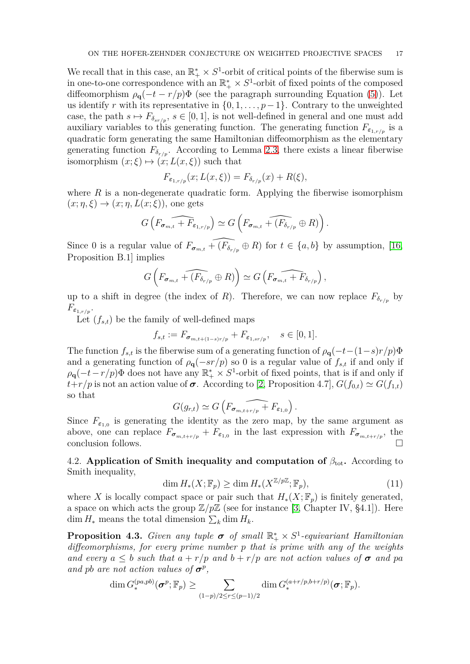We recall that in this case, an  $\mathbb{R}_+^* \times S^1$ -orbit of critical points of the fiberwise sum is in one-to-one correspondence with an  $\mathbb{R}_+^* \times S^1$ -orbit of fixed points of the composed diffeomorphism  $\rho_{q}(-t - r/p)\Phi$  (see the paragraph surrounding Equation [\(5\)](#page-6-0)). Let us identify *r* with its representative in  $\{0, 1, \ldots, p-1\}$ . Contrary to the unweighted case, the path  $s \mapsto F_{\delta_{sr/p}}, s \in [0,1]$ , is not well-defined in general and one must add auxiliary variables to this generating function. The generating function  $F_{\epsilon_1,r/n}$  is a quadratic form generating the same Hamiltonian diffeomorphism as the elementary generating function  $F_{\delta_{r/p}}$ . According to Lemma [2.3,](#page-7-1) there exists a linear fiberwise isomorphism  $(x;\xi) \mapsto (x; L(x,\xi))$  such that

$$
F_{\varepsilon_{1,r/p}}(x;L(x,\xi)) = F_{\delta_{r/p}}(x) + R(\xi),
$$

where  $R$  is a non-degenerate quadratic form. Applying the fiberwise isomorphism  $(x; \eta, \xi) \rightarrow (x; \eta, L(x; \xi))$ , one gets

$$
G\left(\widehat{F_{\sigma_{m,t}} + F_{\varepsilon_{1,r/p}}}\right) \simeq G\left(F_{\sigma_{m,t}} + \widehat{(F_{\delta_{r/p}} \oplus R)}\right)
$$

*.*

Since 0 is a regular value of  $F_{\sigma_{m,t}}$  +  $(\widehat{F_{\delta_{r/p}}} \oplus R)$  for  $t \in \{a, b\}$  by assumption, [\[16,](#page-20-16) Proposition B.1] implies

$$
G\left(F_{\sigma_{m,t}} + \widehat{(F_{\delta_{r/p}} \oplus R)}\right) \simeq G\left(F_{\sigma_{m,t}} + \widehat{F}_{\delta_{r/p}}\right),
$$

up to a shift in degree (the index of *R*). Therefore, we can now replace  $F_{\delta_{r/n}}$  by  $F_{\varepsilon_{1,r/p}}$ .

Let  $(f_{s,t})$  be the family of well-defined maps

$$
f_{s,t} := F_{\sigma_{m,t+(1-s)r/p}} + F_{\varepsilon_{1,sr/p}}, \quad s \in [0,1].
$$

The function  $f_{s,t}$  is the fiberwise sum of a generating function of  $\rho_{\bf q}(-t-(1-s)r/p)\Phi$ and a generating function of  $\rho_{q}(-sr/p)$  so 0 is a regular value of  $f_{s,t}$  if and only if  $\rho_{\bf q}(-t-r/p)\Phi$  does not have any  $\mathbb{R}_+^* \times S^1$ -orbit of fixed points, that is if and only if *t*+*r/p* is not an action value of  $\sigma$ . According to [\[2,](#page-20-15) Proposition 4.7],  $G(f_{0,t}) \simeq G(f_{1,t})$ so that

$$
G(g_{r,t}) \simeq G\left(F_{\sigma_{m,t+r/p}} + F_{\varepsilon_{1,0}}\right).
$$

Since  $F_{\varepsilon_{1,0}}$  is generating the identity as the zero map, by the same argument as above, one can replace  $F_{\sigma_{m,t+r/p}} + F_{\varepsilon_{1,0}}$  in the last expression with  $F_{\sigma_{m,t+r/p}}$ , the conclusion follows.  $\Box$ 

4.2. **Application of Smith inequality and computation of**  $\beta_{\text{tot}}$ **.** According to Smith inequality,

<span id="page-16-0"></span>
$$
\dim H_*(X; \mathbb{F}_p) \ge \dim H_*(X^{\mathbb{Z}/p\mathbb{Z}}; \mathbb{F}_p),\tag{11}
$$

where X is locally compact space or pair such that  $H_*(X; \mathbb{F}_n)$  is finitely generated, a space on which acts the group  $\mathbb{Z}/p\mathbb{Z}$  (see for instance [\[3,](#page-20-20) Chapter IV, §4.1]). Here dim  $H_*$  means the total dimension  $\sum_k$  dim  $H_k$ .

<span id="page-16-1"></span>**Proposition 4.3.** *Given any tuple*  $\sigma$  *of small*  $\mathbb{R}^*_+ \times S^1$ -equivariant Hamiltonian *diffeomorphisms, for every prime number p that is prime with any of the weights and every*  $a \leq b$  *such that*  $a + r/p$  *and*  $b + r/p$  *are not action values of*  $\sigma$  *and pa and pb are not action values of*  $\sigma^p$ ,

$$
\dim G_{*}^{(pa,pb)}(\boldsymbol{\sigma}^p;\mathbb{F}_p) \geq \sum_{(1-p)/2 \leq r \leq (p-1)/2} \dim G_{*}^{(a+r/p,b+r/p)}(\boldsymbol{\sigma};\mathbb{F}_p).
$$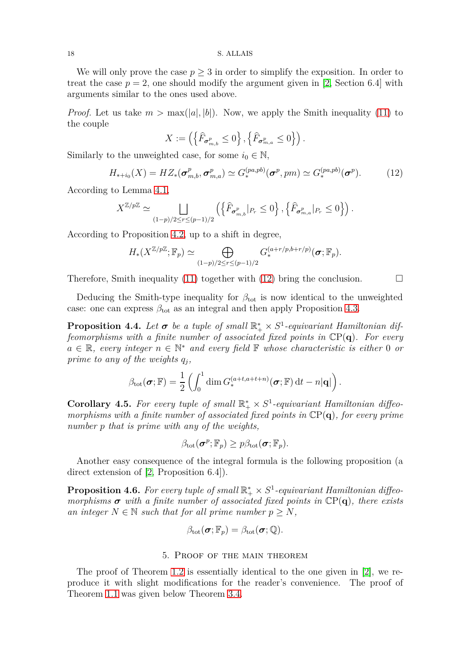We will only prove the case  $p \geq 3$  in order to simplify the exposition. In order to treat the case  $p = 2$ , one should modify the argument given in [\[2,](#page-20-15) Section 6.4] with arguments similar to the ones used above.

*Proof.* Let us take  $m > \max(|a|, |b|)$ . Now, we apply the Smith inequality [\(11\)](#page-16-0) to the couple

$$
X:=\left(\left\{\widehat{F}_{\sigma_{m,b}^p}\leq 0\right\},\left\{\widehat{F}_{\sigma_{m,a}^p}\leq 0\right\}\right).
$$

Similarly to the unweighted case, for some  $i_0 \in \mathbb{N}$ ,

<span id="page-17-1"></span>
$$
H_{*+i_0}(X) = HZ_*(\sigma_{m,b}^p, \sigma_{m,a}^p) \simeq G_*^{(pa, pb)}(\sigma^p, pm) \simeq G_*^{(pa, pb)}(\sigma^p). \tag{12}
$$

According to Lemma [4.1,](#page-14-2)

$$
X^{\mathbb{Z}/p\mathbb{Z}} \simeq \bigsqcup_{(1-p)/2 \le r \le (p-1)/2} \left( \left\{ \widehat{F}_{\sigma^p_{m,b}} |_{P_r} \le 0 \right\}, \left\{ \widehat{F}_{\sigma^p_{m,a}} |_{P_r} \le 0 \right\} \right).
$$

According to Proposition [4.2,](#page-15-0) up to a shift in degree,

$$
H_*(X^{\mathbb{Z}/p\mathbb{Z}};\mathbb{F}_p) \simeq \bigoplus_{(1-p)/2 \leq r \leq (p-1)/2} G_*^{(a+r/p,b+r/p)}(\boldsymbol{\sigma};\mathbb{F}_p).
$$

Therefore, Smith inequality [\(11\)](#page-16-0) together with [\(12\)](#page-17-1) bring the conclusion.  $\Box$ 

Deducing the Smith-type inequality for  $\beta_{\text{tot}}$  is now identical to the unweighted case: one can express  $\beta_{\text{tot}}$  as an integral and then apply Proposition [4.3.](#page-16-1)

**Proposition 4.4.** Let  $\sigma$  be a tuple of small  $\mathbb{R}^*_+ \times S^1$ -equivariant Hamiltonian dif*feomorphisms with a finite number of associated fixed points in* CP(**q**)*. For every a* ∈ R*, every integer n* ∈ N <sup>∗</sup> *and every field* F *whose characteristic is either* 0 *or prime to any of the weights q<sup>j</sup> ,*

$$
\beta_{\text{tot}}(\boldsymbol{\sigma}; \mathbb{F}) = \frac{1}{2} \left( \int_0^1 \dim G_*^{(a+t, a+t+n)}(\boldsymbol{\sigma}; \mathbb{F}) dt - n|\mathbf{q}| \right).
$$

<span id="page-17-2"></span>**Corollary 4.5.** For every tuple of small  $\mathbb{R}^*_+ \times S^1$ -equivariant Hamiltonian diffeo*morphisms with a finite number of associated fixed points in* CP(**q**)*, for every prime number p that is prime with any of the weights,*

$$
\beta_{\text{tot}}(\boldsymbol{\sigma}^p; \mathbb{F}_p) \geq p\beta_{\text{tot}}(\boldsymbol{\sigma}; \mathbb{F}_p).
$$

Another easy consequence of the integral formula is the following proposition (a direct extension of [\[2,](#page-20-15) Proposition 6.4]).

<span id="page-17-3"></span>**Proposition 4.6.** For every tuple of small  $\mathbb{R}_+^* \times S^1$ -equivariant Hamiltonian diffeo*morphisms*  $\sigma$  *with a finite number of associated fixed points in*  $\mathbb{C}P(q)$ *, there exists an integer*  $N \in \mathbb{N}$  *such that for all prime number*  $p \geq N$ *,* 

$$
\beta_{\text{tot}}(\boldsymbol{\sigma};\mathbb{F}_p) = \beta_{\text{tot}}(\boldsymbol{\sigma};\mathbb{Q}).
$$

## 5. Proof of the main theorem

<span id="page-17-0"></span>The proof of Theorem [1.2](#page-1-1) is essentially identical to the one given in [\[2\]](#page-20-15), we reproduce it with slight modifications for the reader's convenience. The proof of Theorem [1.1](#page-0-0) was given below Theorem [3.4.](#page-12-1)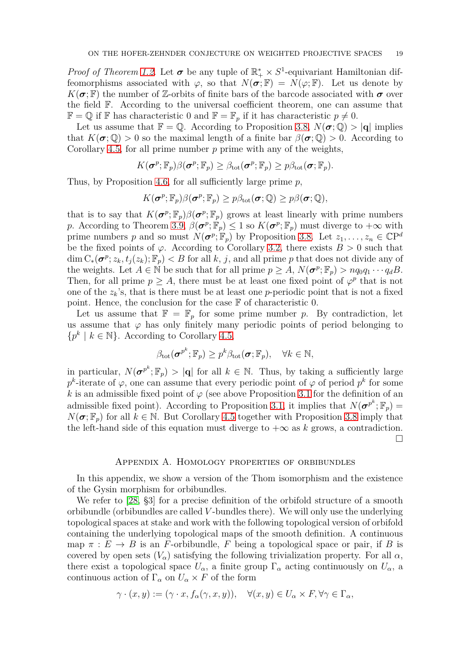*Proof of Theorem [1.2.](#page-1-1)* Let  $\sigma$  be any tuple of  $\mathbb{R}_+^* \times S^1$ -equivariant Hamiltonian diffeomorphisms associated with  $\varphi$ , so that  $N(\sigma;\mathbb{F}) = N(\varphi;\mathbb{F})$ . Let us denote by  $K(\sigma, \mathbb{F})$  the number of Z-orbits of finite bars of the barcode associated with  $\sigma$  over the field F. According to the universal coefficient theorem, one can assume that  $\mathbb{F} = \mathbb{Q}$  if  $\mathbb{F}$  has characteristic 0 and  $\mathbb{F} = \mathbb{F}_p$  if it has characteristic  $p \neq 0$ .

Let us assume that  $\mathbb{F} = \mathbb{Q}$ . According to Proposition [3.8,](#page-14-3)  $N(\sigma; \mathbb{Q}) > |\mathbf{q}|$  implies that  $K(\sigma, \mathbb{Q}) > 0$  so the maximal length of a finite bar  $\beta(\sigma, \mathbb{Q}) > 0$ . According to Corollary [4.5,](#page-17-2) for all prime number *p* prime with any of the weights,

$$
K(\boldsymbol{\sigma}^p; \mathbb{F}_p)\beta(\boldsymbol{\sigma}^p; \mathbb{F}_p) \geq \beta_{\text{tot}}(\boldsymbol{\sigma}^p; \mathbb{F}_p) \geq p\beta_{\text{tot}}(\boldsymbol{\sigma}; \mathbb{F}_p).
$$

Thus, by Proposition [4.6,](#page-17-3) for all sufficiently large prime *p*,

$$
K(\boldsymbol{\sigma}^p;\mathbb{F}_p)\beta(\boldsymbol{\sigma}^p;\mathbb{F}_p)\geq p\beta_{\text{tot}}(\boldsymbol{\sigma};\mathbb{Q})\geq p\beta(\boldsymbol{\sigma};\mathbb{Q}),
$$

that is to say that  $K(\sigma^p; \mathbb{F}_p) \beta(\sigma^p; \mathbb{F}_p)$  grows at least linearly with prime numbers *p*. According to Theorem [3.9,](#page-14-0)  $\beta(\sigma^p; \mathbb{F}_p) \leq 1$  so  $K(\sigma^p; \mathbb{F}_p)$  must diverge to  $+\infty$  with prime numbers *p* and so must  $N(\boldsymbol{\sigma}^p; \mathbb{F}_p)$  by Proposition [3.8.](#page-14-3) Let  $z_1, \ldots, z_n \in \mathbb{C}P^d$ be the fixed points of  $\varphi$ . According to Corollary [3.2,](#page-10-2) there exists  $B > 0$  such that  $\dim C_*(\sigma^p; z_k, t_j(z_k); \mathbb{F}_p) < B$  for all *k*, *j*, and all prime *p* that does not divide any of the weights. Let  $A \in \mathbb{N}$  be such that for all prime  $p \geq A$ ,  $N(\sigma^p; \mathbb{F}_p) > nq_0q_1 \cdots q_dB$ . Then, for all prime  $p \geq A$ , there must be at least one fixed point of  $\varphi^p$  that is not one of the  $z_k$ 's, that is there must be at least one *p*-periodic point that is not a fixed point. Hence, the conclusion for the case F of characteristic 0.

Let us assume that  $\mathbb{F} = \mathbb{F}_p$  for some prime number p. By contradiction, let us assume that  $\varphi$  has only finitely many periodic points of period belonging to  $\{p^k \mid k \in \mathbb{N}\}\$ . According to Corollary [4.5,](#page-17-2)

$$
\beta_{\text{tot}}(\boldsymbol{\sigma}^{p^k}; \mathbb{F}_p) \geq p^k \beta_{\text{tot}}(\boldsymbol{\sigma}; \mathbb{F}_p), \quad \forall k \in \mathbb{N},
$$

in particular,  $N(\sigma^{p^k}; \mathbb{F}_p) > |\mathbf{q}|$  for all  $k \in \mathbb{N}$ . Thus, by taking a sufficiently large  $p^k$ -iterate of  $\varphi$ , one can assume that every periodic point of  $\varphi$  of period  $p^k$  for some *k* is an admissible fixed point of  $\varphi$  (see above Proposition [3.1](#page-9-1) for the definition of an admissible fixed point). According to Proposition [3.1,](#page-9-1) it implies that  $N(\sigma^{p^k}; \mathbb{F}_p)$  $N(\sigma; \mathbb{F}_p)$  for all  $k \in \mathbb{N}$ . But Corollary [4.5](#page-17-2) together with Proposition [3.8](#page-14-3) imply that the left-hand side of this equation must diverge to  $+\infty$  as *k* grows, a contradiction.  $\Box$ 

## Appendix A. Homology properties of orbibundles

<span id="page-18-0"></span>In this appendix, we show a version of the Thom isomorphism and the existence of the Gysin morphism for orbibundles.

We refer to [\[28,](#page-21-9)  $\S3$ ] for a precise definition of the orbifold structure of a smooth orbibundle (orbibundles are called *V* -bundles there). We will only use the underlying topological spaces at stake and work with the following topological version of orbifold containing the underlying topological maps of the smooth definition. A continuous map  $\pi : E \to B$  is an *F*-orbibundle, *F* being a topological space or pair, if *B* is covered by open sets  $(V_{\alpha})$  satisfying the following trivialization property. For all  $\alpha$ , there exist a topological space  $U_{\alpha}$ , a finite group  $\Gamma_{\alpha}$  acting continuously on  $U_{\alpha}$ , a continuous action of  $\Gamma_{\alpha}$  on  $U_{\alpha} \times F$  of the form

$$
\gamma \cdot (x, y) := (\gamma \cdot x, f_{\alpha}(\gamma, x, y)), \quad \forall (x, y) \in U_{\alpha} \times F, \forall \gamma \in \Gamma_{\alpha},
$$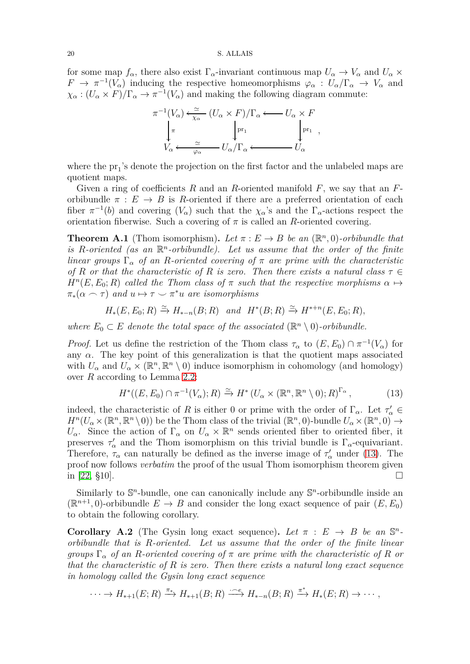for some map  $f_{\alpha}$ , there also exist  $\Gamma_{\alpha}$ -invariant continuous map  $U_{\alpha} \to V_{\alpha}$  and  $U_{\alpha} \times$  $F \to \pi^{-1}(V_\alpha)$  inducing the respective homeomorphisms  $\varphi_\alpha : U_\alpha/\Gamma_\alpha \to V_\alpha$  and  $\chi_{\alpha} : (U_{\alpha} \times F)/\Gamma_{\alpha} \to \pi^{-1}(V_{\alpha})$  and making the following diagram commute:



where the  $pr_1$ 's denote the projection on the first factor and the unlabeled maps are quotient maps.

Given a ring of coefficients *R* and an *R*-oriented manifold *F*, we say that an *F*orbibundle  $\pi : E \to B$  is *R*-oriented if there are a preferred orientation of each fiber  $\pi^{-1}(b)$  and covering  $(V_\alpha)$  such that the  $\chi_\alpha$ 's and the  $\Gamma_\alpha$ -actions respect the orientation fiberwise. Such a covering of  $\pi$  is called an *R*-oriented covering.

**Theorem A.1** (Thom isomorphism). Let  $\pi : E \to B$  be an  $(\mathbb{R}^n, 0)$ -orbibundle that is R-oriented (as an  $\mathbb{R}^n$ -orbibundle). Let us assume that the order of the finite *linear groups*  $\Gamma_{\alpha}$  *of an R-oriented covering of*  $\pi$  *are prime with the characteristic of R or that the characteristic of R is zero. Then there exists a natural class τ* ∈  $H<sup>n</sup>(E, E<sub>0</sub>; R)$  *called the Thom class of*  $\pi$  *such that the respective morphisms*  $\alpha \mapsto$  $\pi_*(\alpha \frown \tau)$  *and*  $u \mapsto \tau \frown \pi^*u$  *are isomorphisms* 

$$
H_*(E, E_0; R) \xrightarrow{\simeq} H_{*-n}(B; R) \quad and \quad H^*(B; R) \xrightarrow{\simeq} H^{*+n}(E, E_0; R),
$$

*where*  $E_0 \subset E$  *denote the total space of the associated* ( $\mathbb{R}^n \setminus 0$ )-orbibundle.

*Proof.* Let us define the restriction of the Thom class  $\tau_{\alpha}$  to  $(E, E_0) \cap \pi^{-1}(V_{\alpha})$  for any  $\alpha$ . The key point of this generalization is that the quotient maps associated with  $U_{\alpha}$  and  $U_{\alpha} \times (\mathbb{R}^n, \mathbb{R}^n \setminus 0)$  induce isomorphism in cohomology (and homology) over *R* according to Lemma [2.2:](#page-5-2)

<span id="page-19-1"></span>
$$
H^*(E, E_0) \cap \pi^{-1}(V_\alpha); R) \xrightarrow{\simeq} H^*(U_\alpha \times (\mathbb{R}^n, \mathbb{R}^n \setminus 0); R)^{\Gamma_\alpha}, \tag{13}
$$

indeed, the characteristic of *R* is either 0 or prime with the order of  $\Gamma_{\alpha}$ . Let  $\tau'_{\alpha} \in$  $H^n(U_\alpha \times (\mathbb{R}^n, \mathbb{R}^n \setminus 0))$  be the Thom class of the trivial  $(\mathbb{R}^n, 0)$ -bundle  $U_\alpha \times (\mathbb{R}^n, 0) \to$ *U*<sub>*α*</sub>. Since the action of  $\Gamma_\alpha$  on  $U_\alpha \times \mathbb{R}^n$  sends oriented fiber to oriented fiber, it preserves  $\tau'_{\alpha}$  and the Thom isomorphism on this trivial bundle is  $\Gamma_{\alpha}$ -equivariant. Therefore,  $\tau_{\alpha}$  can naturally be defined as the inverse image of  $\tau'_{\alpha}$  under [\(13\)](#page-19-1). The proof now follows *verbatim* the proof of the usual Thom isomorphism theorem given in [\[22,](#page-20-22)  $\S$ 10].

Similarly to  $\mathbb{S}^n$ -bundle, one can canonically include any  $\mathbb{S}^n$ -orbibundle inside an  $(\mathbb{R}^{n+1}, 0)$ -orbibundle  $E \to B$  and consider the long exact sequence of pair  $(E, E_0)$ to obtain the following corollary.

<span id="page-19-0"></span>**Corollary A.2** (The Gysin long exact sequence). Let  $\pi$  :  $E \rightarrow B$  be an  $\mathbb{S}^n$ *orbibundle that is R-oriented. Let us assume that the order of the finite linear groups*  $\Gamma_{\alpha}$  *of an R*-oriented covering of  $\pi$  *are prime with the characteristic of R or that the characteristic of R is zero. Then there exists a natural long exact sequence in homology called the Gysin long exact sequence*

$$
\cdots \to H_{*+1}(E;R) \xrightarrow{\pi_*} H_{*+1}(B;R) \xrightarrow{\cdot \quad e} H_{*-n}(B;R) \xrightarrow{\pi^*} H_*(E;R) \to \cdots,
$$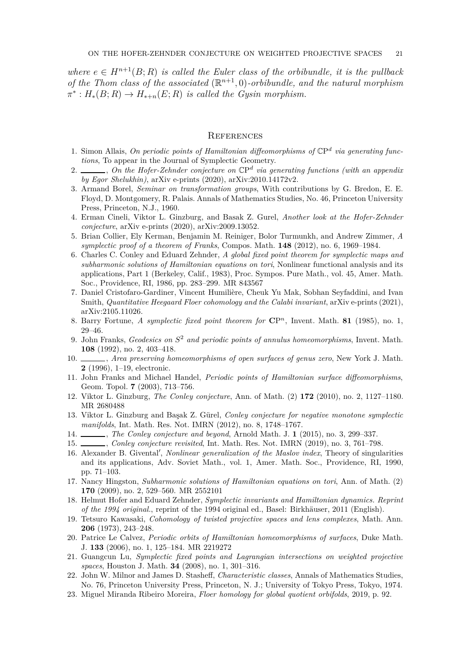*where*  $e \in H^{n+1}(B;R)$  *is called the Euler class of the orbibundle, it is the pullback* of the Thom class of the associated  $(\mathbb{R}^{n+1}, 0)$ -orbibundle, and the natural morphism  $\pi^*: H_*(B; R) \to H_{*+n}(E; R)$  *is called the Gysin morphism.* 

## **REFERENCES**

- <span id="page-20-21"></span>1. Simon Allais, *On periodic points of Hamiltonian diffeomorphisms of* CP *d via generating functions*, To appear in the Journal of Symplectic Geometry.
- <span id="page-20-15"></span>2. , *On the Hofer-Zehnder conjecture on* CP *d via generating functions (with an appendix by Egor Shelukhin)*, arXiv e-prints (2020), arXiv:2010.14172v2.
- <span id="page-20-20"></span>3. Armand Borel, *Seminar on transformation groups*, With contributions by G. Bredon, E. E. Floyd, D. Montgomery, R. Palais. Annals of Mathematics Studies, No. 46, Princeton University Press, Princeton, N.J., 1960.
- <span id="page-20-14"></span>4. Erman Cineli, Viktor L. Ginzburg, and Basak Z. Gurel, *Another look at the Hofer-Zehnder conjecture*, arXiv e-prints (2020), arXiv:2009.13052.
- <span id="page-20-13"></span>5. Brian Collier, Ely Kerman, Benjamin M. Reiniger, Bolor Turmunkh, and Andrew Zimmer, *A symplectic proof of a theorem of Franks*, Compos. Math. **148** (2012), no. 6, 1969–1984.
- <span id="page-20-3"></span>6. Charles C. Conley and Eduard Zehnder, *A global fixed point theorem for symplectic maps and subharmonic solutions of Hamiltonian equations on tori*, Nonlinear functional analysis and its applications, Part 1 (Berkeley, Calif., 1983), Proc. Sympos. Pure Math., vol. 45, Amer. Math. Soc., Providence, RI, 1986, pp. 283–299. MR 843567
- <span id="page-20-17"></span>7. Daniel Cristofaro-Gardiner, Vincent Humilière, Cheuk Yu Mak, Sobhan Seyfaddini, and Ivan Smith, *Quantitative Heegaard Floer cohomology and the Calabi invariant*, arXiv e-prints (2021), arXiv:2105.11026.
- <span id="page-20-0"></span>8. Barry Fortune, *A symplectic fixed point theorem for* **C**P *<sup>n</sup>*, Invent. Math. **81** (1985), no. 1, 29–46.
- <span id="page-20-11"></span>9. John Franks, *Geodesics on S* <sup>2</sup> *and periodic points of annulus homeomorphisms*, Invent. Math. **108** (1992), no. 2, 403–418.
- <span id="page-20-12"></span>10. , *Area preserving homeomorphisms of open surfaces of genus zero*, New York J. Math. **2** (1996), 1–19, electronic.
- <span id="page-20-4"></span>11. John Franks and Michael Handel, *Periodic points of Hamiltonian surface diffeomorphisms*, Geom. Topol. **7** (2003), 713–756.
- <span id="page-20-7"></span><span id="page-20-6"></span>12. Viktor L. Ginzburg, *The Conley conjecture*, Ann. of Math. (2) **172** (2010), no. 2, 1127–1180. MR 2680488
- 13. Viktor L. Ginzburg and Başak Z. Gürel, *Conley conjecture for negative monotone symplectic manifolds*, Int. Math. Res. Not. IMRN (2012), no. 8, 1748–1767.
- <span id="page-20-9"></span><span id="page-20-8"></span>14. , *The Conley conjecture and beyond*, Arnold Math. J. **1** (2015), no. 3, 299–337.
- <span id="page-20-16"></span>15. , *Conley conjecture revisited*, Int. Math. Res. Not. IMRN (2019), no. 3, 761–798.
- 16. Alexander B. Givental′ , *Nonlinear generalization of the Maslov index*, Theory of singularities and its applications, Adv. Soviet Math., vol. 1, Amer. Math. Soc., Providence, RI, 1990, pp. 71–103.
- <span id="page-20-2"></span>17. Nancy Hingston, *Subharmonic solutions of Hamiltonian equations on tori*, Ann. of Math. (2) **170** (2009), no. 2, 529–560. MR 2552101
- <span id="page-20-10"></span>18. Helmut Hofer and Eduard Zehnder, *Symplectic invariants and Hamiltonian dynamics. Reprint of the 1994 original.*, reprint of the 1994 original ed., Basel: Birkhäuser, 2011 (English).
- <span id="page-20-19"></span>19. Tetsuro Kawasaki, *Cohomology of twisted projective spaces and lens complexes*, Math. Ann. **206** (1973), 243–248.
- <span id="page-20-5"></span>20. Patrice Le Calvez, *Periodic orbits of Hamiltonian homeomorphisms of surfaces*, Duke Math. J. **133** (2006), no. 1, 125–184. MR 2219272
- <span id="page-20-1"></span>21. Guangcun Lu, *Symplectic fixed points and Lagrangian intersections on weighted projective spaces*, Houston J. Math. **34** (2008), no. 1, 301–316.
- <span id="page-20-22"></span>22. John W. Milnor and James D. Stasheff, *Characteristic classes*, Annals of Mathematics Studies, No. 76, Princeton University Press, Princeton, N. J.; University of Tokyo Press, Tokyo, 1974.
- <span id="page-20-18"></span>23. Miguel Miranda Ribeiro Moreira, *Floer homology for global quotient orbifolds*, 2019, p. 92.